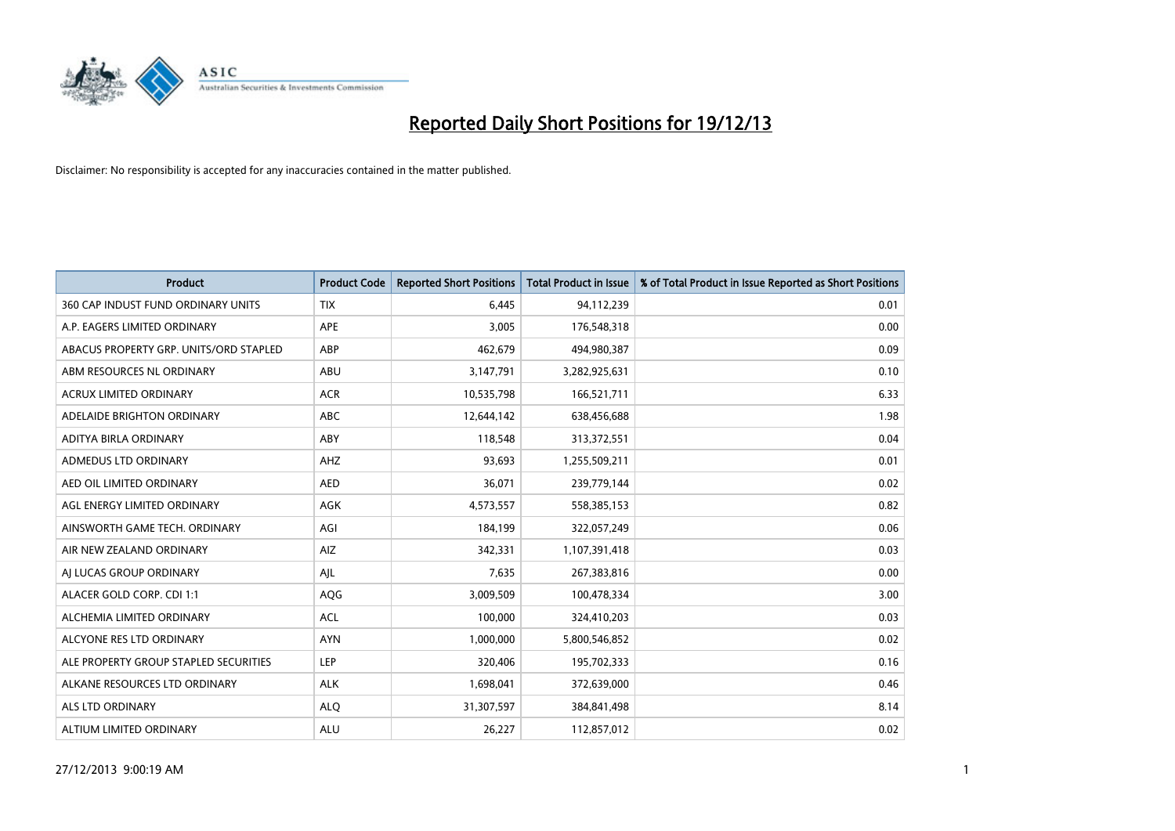

| <b>Product</b>                         | <b>Product Code</b> | <b>Reported Short Positions</b> | <b>Total Product in Issue</b> | % of Total Product in Issue Reported as Short Positions |
|----------------------------------------|---------------------|---------------------------------|-------------------------------|---------------------------------------------------------|
| 360 CAP INDUST FUND ORDINARY UNITS     | <b>TIX</b>          | 6,445                           | 94,112,239                    | 0.01                                                    |
| A.P. EAGERS LIMITED ORDINARY           | APE                 | 3,005                           | 176,548,318                   | 0.00                                                    |
| ABACUS PROPERTY GRP. UNITS/ORD STAPLED | ABP                 | 462,679                         | 494,980,387                   | 0.09                                                    |
| ABM RESOURCES NL ORDINARY              | ABU                 | 3,147,791                       | 3,282,925,631                 | 0.10                                                    |
| <b>ACRUX LIMITED ORDINARY</b>          | <b>ACR</b>          | 10,535,798                      | 166,521,711                   | 6.33                                                    |
| ADELAIDE BRIGHTON ORDINARY             | <b>ABC</b>          | 12,644,142                      | 638,456,688                   | 1.98                                                    |
| ADITYA BIRLA ORDINARY                  | ABY                 | 118,548                         | 313,372,551                   | 0.04                                                    |
| ADMEDUS LTD ORDINARY                   | AHZ                 | 93,693                          | 1,255,509,211                 | 0.01                                                    |
| AED OIL LIMITED ORDINARY               | <b>AED</b>          | 36,071                          | 239,779,144                   | 0.02                                                    |
| AGL ENERGY LIMITED ORDINARY            | AGK                 | 4,573,557                       | 558,385,153                   | 0.82                                                    |
| AINSWORTH GAME TECH. ORDINARY          | AGI                 | 184,199                         | 322,057,249                   | 0.06                                                    |
| AIR NEW ZEALAND ORDINARY               | AIZ                 | 342,331                         | 1,107,391,418                 | 0.03                                                    |
| AI LUCAS GROUP ORDINARY                | AJL                 | 7,635                           | 267,383,816                   | 0.00                                                    |
| ALACER GOLD CORP. CDI 1:1              | AQG                 | 3,009,509                       | 100,478,334                   | 3.00                                                    |
| ALCHEMIA LIMITED ORDINARY              | <b>ACL</b>          | 100,000                         | 324,410,203                   | 0.03                                                    |
| ALCYONE RES LTD ORDINARY               | <b>AYN</b>          | 1,000,000                       | 5,800,546,852                 | 0.02                                                    |
| ALE PROPERTY GROUP STAPLED SECURITIES  | LEP                 | 320,406                         | 195,702,333                   | 0.16                                                    |
| ALKANE RESOURCES LTD ORDINARY          | <b>ALK</b>          | 1,698,041                       | 372,639,000                   | 0.46                                                    |
| ALS LTD ORDINARY                       | <b>ALO</b>          | 31,307,597                      | 384, 841, 498                 | 8.14                                                    |
| ALTIUM LIMITED ORDINARY                | <b>ALU</b>          | 26,227                          | 112,857,012                   | 0.02                                                    |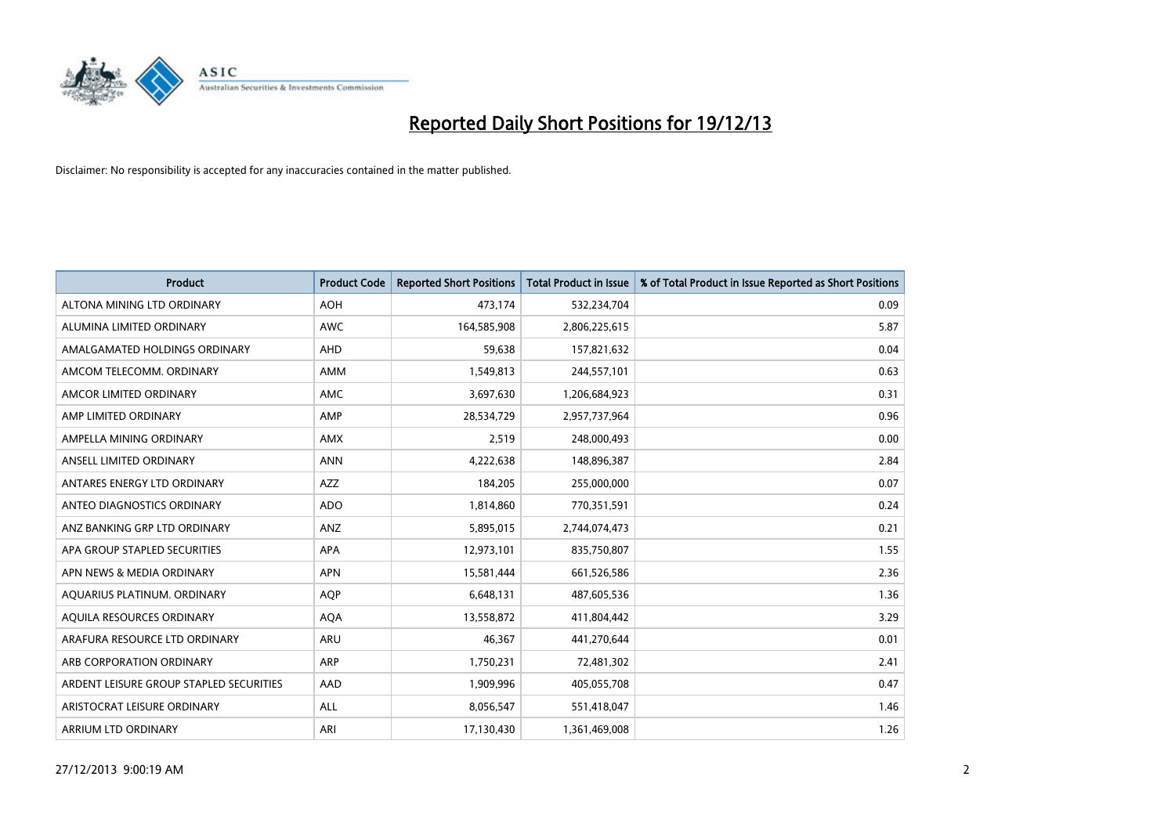

| <b>Product</b>                          | <b>Product Code</b> | <b>Reported Short Positions</b> | <b>Total Product in Issue</b> | % of Total Product in Issue Reported as Short Positions |
|-----------------------------------------|---------------------|---------------------------------|-------------------------------|---------------------------------------------------------|
| ALTONA MINING LTD ORDINARY              | <b>AOH</b>          | 473,174                         | 532,234,704                   | 0.09                                                    |
| ALUMINA LIMITED ORDINARY                | AWC                 | 164,585,908                     | 2,806,225,615                 | 5.87                                                    |
| AMALGAMATED HOLDINGS ORDINARY           | AHD                 | 59,638                          | 157,821,632                   | 0.04                                                    |
| AMCOM TELECOMM. ORDINARY                | AMM                 | 1,549,813                       | 244,557,101                   | 0.63                                                    |
| AMCOR LIMITED ORDINARY                  | AMC                 | 3,697,630                       | 1,206,684,923                 | 0.31                                                    |
| AMP LIMITED ORDINARY                    | AMP                 | 28,534,729                      | 2,957,737,964                 | 0.96                                                    |
| AMPELLA MINING ORDINARY                 | AMX                 | 2,519                           | 248,000,493                   | 0.00                                                    |
| ANSELL LIMITED ORDINARY                 | <b>ANN</b>          | 4,222,638                       | 148,896,387                   | 2.84                                                    |
| ANTARES ENERGY LTD ORDINARY             | <b>AZZ</b>          | 184,205                         | 255,000,000                   | 0.07                                                    |
| ANTEO DIAGNOSTICS ORDINARY              | <b>ADO</b>          | 1,814,860                       | 770,351,591                   | 0.24                                                    |
| ANZ BANKING GRP LTD ORDINARY            | ANZ                 | 5,895,015                       | 2,744,074,473                 | 0.21                                                    |
| APA GROUP STAPLED SECURITIES            | APA                 | 12,973,101                      | 835,750,807                   | 1.55                                                    |
| APN NEWS & MEDIA ORDINARY               | <b>APN</b>          | 15,581,444                      | 661,526,586                   | 2.36                                                    |
| AQUARIUS PLATINUM. ORDINARY             | <b>AOP</b>          | 6,648,131                       | 487,605,536                   | 1.36                                                    |
| AQUILA RESOURCES ORDINARY               | <b>AQA</b>          | 13,558,872                      | 411,804,442                   | 3.29                                                    |
| ARAFURA RESOURCE LTD ORDINARY           | ARU                 | 46,367                          | 441,270,644                   | 0.01                                                    |
| ARB CORPORATION ORDINARY                | ARP                 | 1,750,231                       | 72,481,302                    | 2.41                                                    |
| ARDENT LEISURE GROUP STAPLED SECURITIES | AAD                 | 1,909,996                       | 405,055,708                   | 0.47                                                    |
| ARISTOCRAT LEISURE ORDINARY             | ALL                 | 8,056,547                       | 551,418,047                   | 1.46                                                    |
| ARRIUM LTD ORDINARY                     | ARI                 | 17,130,430                      | 1,361,469,008                 | 1.26                                                    |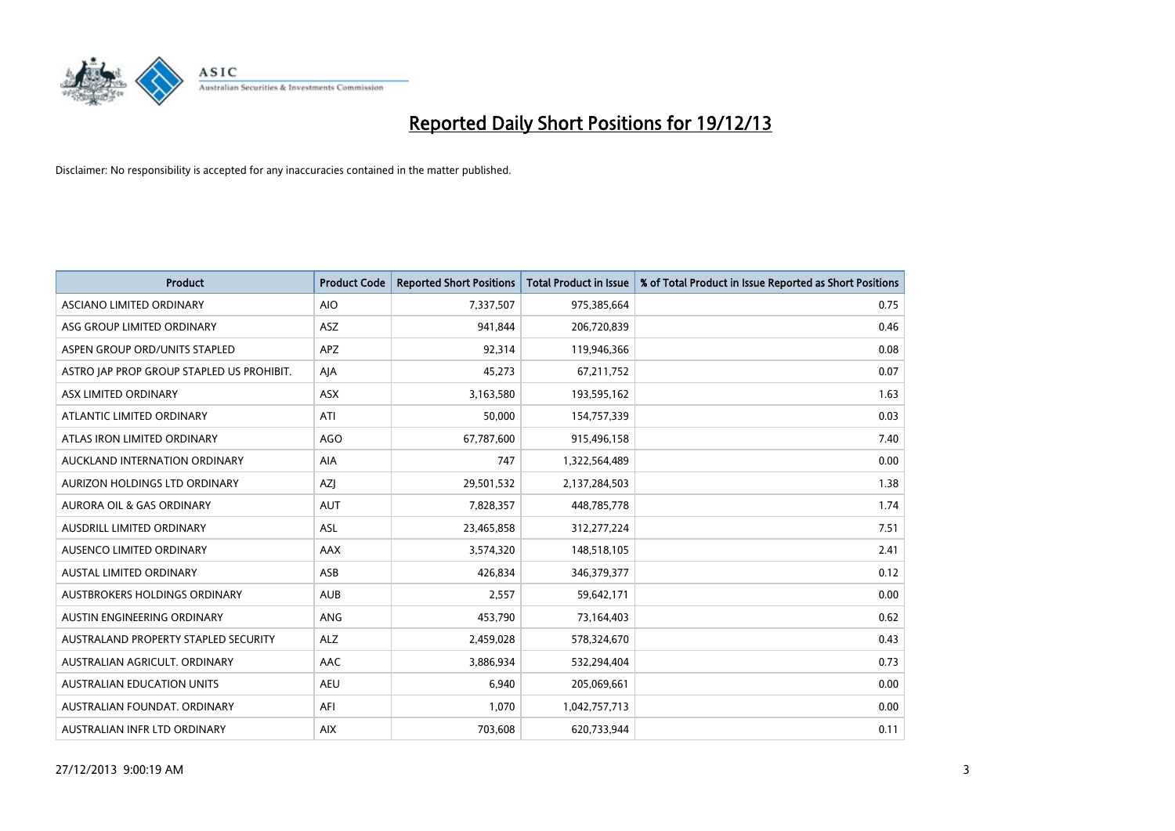

| <b>Product</b>                            | <b>Product Code</b> | <b>Reported Short Positions</b> | <b>Total Product in Issue</b> | % of Total Product in Issue Reported as Short Positions |
|-------------------------------------------|---------------------|---------------------------------|-------------------------------|---------------------------------------------------------|
| ASCIANO LIMITED ORDINARY                  | <b>AIO</b>          | 7,337,507                       | 975,385,664                   | 0.75                                                    |
| ASG GROUP LIMITED ORDINARY                | ASZ                 | 941,844                         | 206,720,839                   | 0.46                                                    |
| ASPEN GROUP ORD/UNITS STAPLED             | APZ                 | 92,314                          | 119,946,366                   | 0.08                                                    |
| ASTRO JAP PROP GROUP STAPLED US PROHIBIT. | AJA                 | 45,273                          | 67,211,752                    | 0.07                                                    |
| ASX LIMITED ORDINARY                      | ASX                 | 3,163,580                       | 193,595,162                   | 1.63                                                    |
| ATLANTIC LIMITED ORDINARY                 | ATI                 | 50,000                          | 154,757,339                   | 0.03                                                    |
| ATLAS IRON LIMITED ORDINARY               | <b>AGO</b>          | 67,787,600                      | 915,496,158                   | 7.40                                                    |
| AUCKLAND INTERNATION ORDINARY             | AIA                 | 747                             | 1,322,564,489                 | 0.00                                                    |
| AURIZON HOLDINGS LTD ORDINARY             | AZJ                 | 29,501,532                      | 2,137,284,503                 | 1.38                                                    |
| <b>AURORA OIL &amp; GAS ORDINARY</b>      | <b>AUT</b>          | 7,828,357                       | 448,785,778                   | 1.74                                                    |
| AUSDRILL LIMITED ORDINARY                 | <b>ASL</b>          | 23,465,858                      | 312,277,224                   | 7.51                                                    |
| AUSENCO LIMITED ORDINARY                  | AAX                 | 3,574,320                       | 148,518,105                   | 2.41                                                    |
| AUSTAL LIMITED ORDINARY                   | ASB                 | 426,834                         | 346, 379, 377                 | 0.12                                                    |
| AUSTBROKERS HOLDINGS ORDINARY             | <b>AUB</b>          | 2,557                           | 59,642,171                    | 0.00                                                    |
| AUSTIN ENGINEERING ORDINARY               | ANG                 | 453,790                         | 73,164,403                    | 0.62                                                    |
| AUSTRALAND PROPERTY STAPLED SECURITY      | <b>ALZ</b>          | 2,459,028                       | 578,324,670                   | 0.43                                                    |
| AUSTRALIAN AGRICULT. ORDINARY             | AAC                 | 3,886,934                       | 532,294,404                   | 0.73                                                    |
| AUSTRALIAN EDUCATION UNITS                | <b>AEU</b>          | 6,940                           | 205,069,661                   | 0.00                                                    |
| AUSTRALIAN FOUNDAT, ORDINARY              | AFI                 | 1,070                           | 1,042,757,713                 | 0.00                                                    |
| AUSTRALIAN INFR LTD ORDINARY              | <b>AIX</b>          | 703,608                         | 620,733,944                   | 0.11                                                    |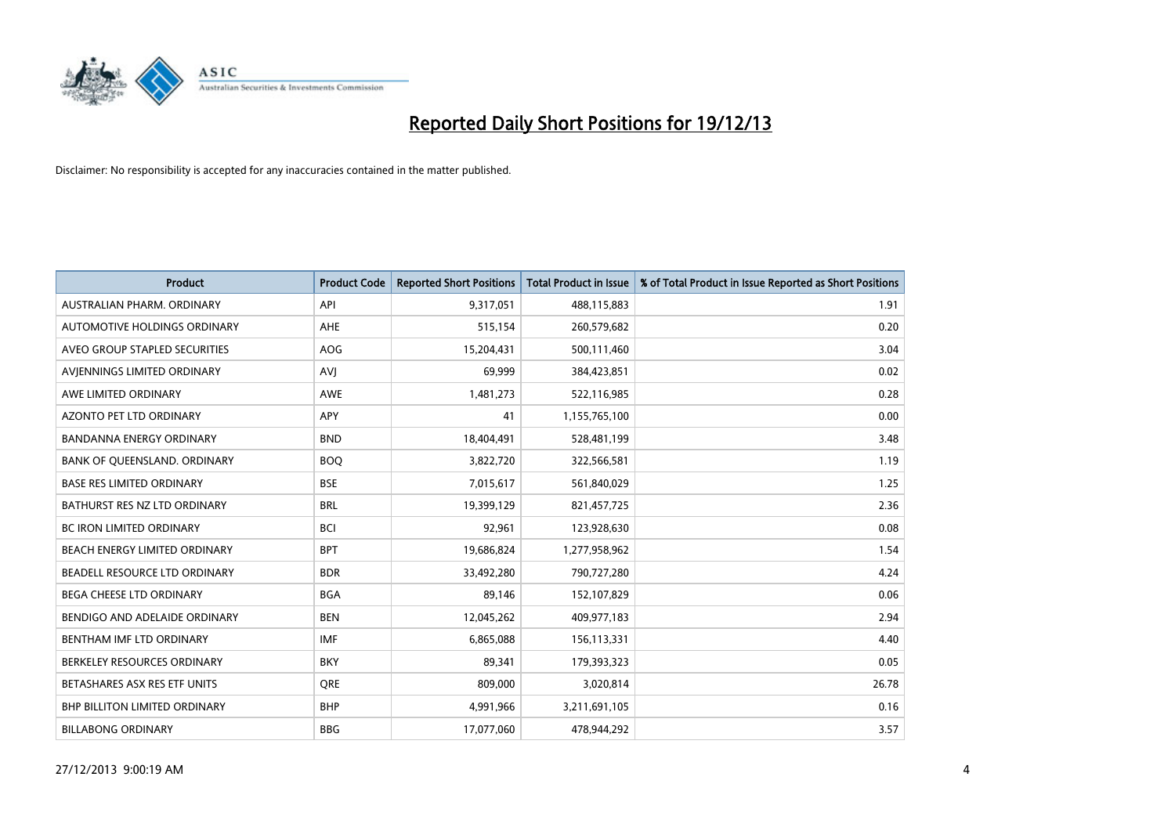

| <b>Product</b>                       | <b>Product Code</b> | <b>Reported Short Positions</b> | <b>Total Product in Issue</b> | % of Total Product in Issue Reported as Short Positions |
|--------------------------------------|---------------------|---------------------------------|-------------------------------|---------------------------------------------------------|
| AUSTRALIAN PHARM, ORDINARY           | API                 | 9,317,051                       | 488,115,883                   | 1.91                                                    |
| AUTOMOTIVE HOLDINGS ORDINARY         | <b>AHE</b>          | 515,154                         | 260,579,682                   | 0.20                                                    |
| AVEO GROUP STAPLED SECURITIES        | <b>AOG</b>          | 15,204,431                      | 500,111,460                   | 3.04                                                    |
| AVIENNINGS LIMITED ORDINARY          | AVI                 | 69,999                          | 384,423,851                   | 0.02                                                    |
| AWE LIMITED ORDINARY                 | <b>AWE</b>          | 1,481,273                       | 522,116,985                   | 0.28                                                    |
| <b>AZONTO PET LTD ORDINARY</b>       | <b>APY</b>          | 41                              | 1,155,765,100                 | 0.00                                                    |
| <b>BANDANNA ENERGY ORDINARY</b>      | <b>BND</b>          | 18,404,491                      | 528,481,199                   | 3.48                                                    |
| BANK OF QUEENSLAND. ORDINARY         | <b>BOQ</b>          | 3,822,720                       | 322,566,581                   | 1.19                                                    |
| <b>BASE RES LIMITED ORDINARY</b>     | <b>BSE</b>          | 7,015,617                       | 561,840,029                   | 1.25                                                    |
| BATHURST RES NZ LTD ORDINARY         | <b>BRL</b>          | 19,399,129                      | 821,457,725                   | 2.36                                                    |
| BC IRON LIMITED ORDINARY             | <b>BCI</b>          | 92,961                          | 123,928,630                   | 0.08                                                    |
| BEACH ENERGY LIMITED ORDINARY        | <b>BPT</b>          | 19,686,824                      | 1,277,958,962                 | 1.54                                                    |
| BEADELL RESOURCE LTD ORDINARY        | <b>BDR</b>          | 33,492,280                      | 790,727,280                   | 4.24                                                    |
| <b>BEGA CHEESE LTD ORDINARY</b>      | <b>BGA</b>          | 89,146                          | 152,107,829                   | 0.06                                                    |
| BENDIGO AND ADELAIDE ORDINARY        | <b>BEN</b>          | 12,045,262                      | 409,977,183                   | 2.94                                                    |
| BENTHAM IMF LTD ORDINARY             | <b>IMF</b>          | 6,865,088                       | 156,113,331                   | 4.40                                                    |
| BERKELEY RESOURCES ORDINARY          | <b>BKY</b>          | 89,341                          | 179,393,323                   | 0.05                                                    |
| BETASHARES ASX RES ETF UNITS         | <b>ORE</b>          | 809,000                         | 3,020,814                     | 26.78                                                   |
| <b>BHP BILLITON LIMITED ORDINARY</b> | <b>BHP</b>          | 4,991,966                       | 3,211,691,105                 | 0.16                                                    |
| <b>BILLABONG ORDINARY</b>            | <b>BBG</b>          | 17,077,060                      | 478,944,292                   | 3.57                                                    |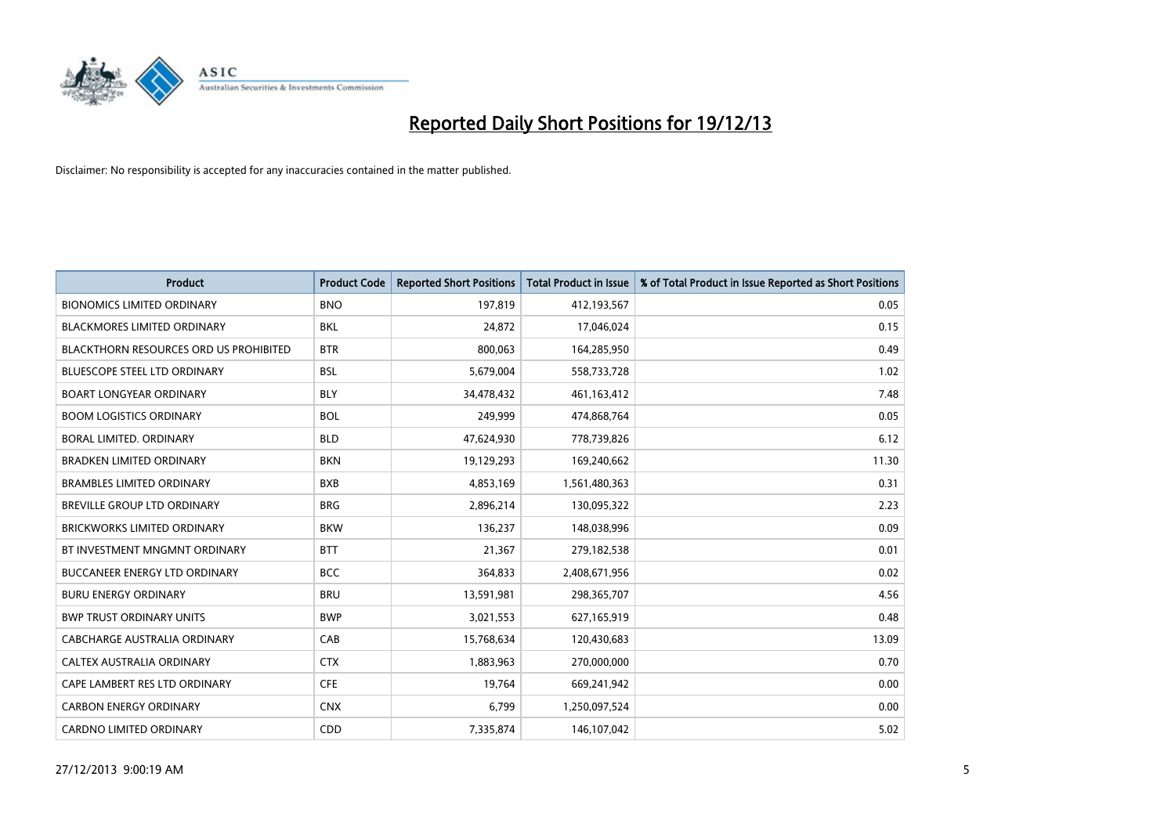

| <b>Product</b>                                | <b>Product Code</b> | <b>Reported Short Positions</b> | <b>Total Product in Issue</b> | % of Total Product in Issue Reported as Short Positions |
|-----------------------------------------------|---------------------|---------------------------------|-------------------------------|---------------------------------------------------------|
| <b>BIONOMICS LIMITED ORDINARY</b>             | <b>BNO</b>          | 197,819                         | 412,193,567                   | 0.05                                                    |
| BLACKMORES LIMITED ORDINARY                   | BKL                 | 24,872                          | 17,046,024                    | 0.15                                                    |
| <b>BLACKTHORN RESOURCES ORD US PROHIBITED</b> | <b>BTR</b>          | 800,063                         | 164,285,950                   | 0.49                                                    |
| <b>BLUESCOPE STEEL LTD ORDINARY</b>           | <b>BSL</b>          | 5,679,004                       | 558,733,728                   | 1.02                                                    |
| <b>BOART LONGYEAR ORDINARY</b>                | <b>BLY</b>          | 34,478,432                      | 461,163,412                   | 7.48                                                    |
| <b>BOOM LOGISTICS ORDINARY</b>                | <b>BOL</b>          | 249,999                         | 474,868,764                   | 0.05                                                    |
| <b>BORAL LIMITED, ORDINARY</b>                | <b>BLD</b>          | 47,624,930                      | 778,739,826                   | 6.12                                                    |
| <b>BRADKEN LIMITED ORDINARY</b>               | <b>BKN</b>          | 19,129,293                      | 169,240,662                   | 11.30                                                   |
| <b>BRAMBLES LIMITED ORDINARY</b>              | <b>BXB</b>          | 4,853,169                       | 1,561,480,363                 | 0.31                                                    |
| <b>BREVILLE GROUP LTD ORDINARY</b>            | <b>BRG</b>          | 2,896,214                       | 130,095,322                   | 2.23                                                    |
| BRICKWORKS LIMITED ORDINARY                   | <b>BKW</b>          | 136,237                         | 148,038,996                   | 0.09                                                    |
| BT INVESTMENT MNGMNT ORDINARY                 | <b>BTT</b>          | 21,367                          | 279,182,538                   | 0.01                                                    |
| BUCCANEER ENERGY LTD ORDINARY                 | <b>BCC</b>          | 364,833                         | 2,408,671,956                 | 0.02                                                    |
| <b>BURU ENERGY ORDINARY</b>                   | <b>BRU</b>          | 13,591,981                      | 298,365,707                   | 4.56                                                    |
| <b>BWP TRUST ORDINARY UNITS</b>               | <b>BWP</b>          | 3,021,553                       | 627,165,919                   | 0.48                                                    |
| CABCHARGE AUSTRALIA ORDINARY                  | CAB                 | 15,768,634                      | 120,430,683                   | 13.09                                                   |
| CALTEX AUSTRALIA ORDINARY                     | <b>CTX</b>          | 1,883,963                       | 270,000,000                   | 0.70                                                    |
| CAPE LAMBERT RES LTD ORDINARY                 | <b>CFE</b>          | 19,764                          | 669,241,942                   | 0.00                                                    |
| <b>CARBON ENERGY ORDINARY</b>                 | <b>CNX</b>          | 6,799                           | 1,250,097,524                 | 0.00                                                    |
| <b>CARDNO LIMITED ORDINARY</b>                | CDD                 | 7,335,874                       | 146,107,042                   | 5.02                                                    |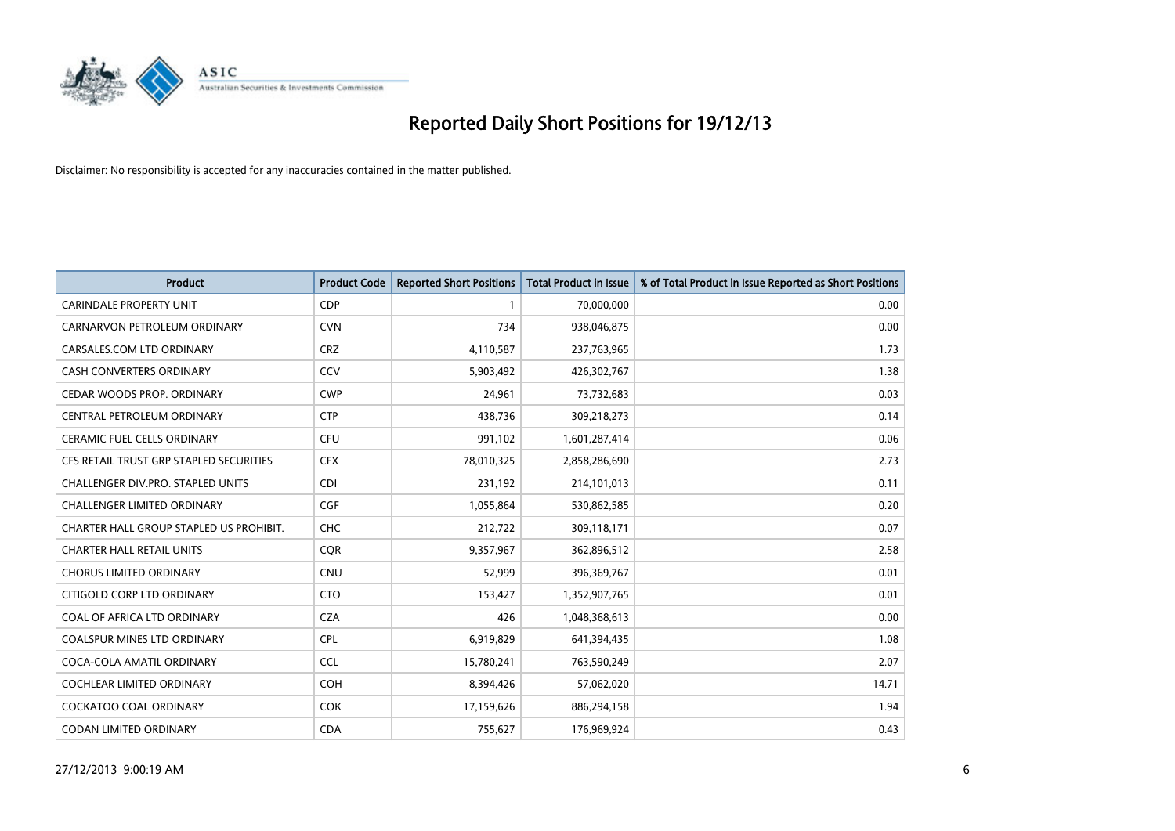

| <b>Product</b>                          | <b>Product Code</b> | <b>Reported Short Positions</b> | <b>Total Product in Issue</b> | % of Total Product in Issue Reported as Short Positions |
|-----------------------------------------|---------------------|---------------------------------|-------------------------------|---------------------------------------------------------|
| <b>CARINDALE PROPERTY UNIT</b>          | <b>CDP</b>          | 1                               | 70,000,000                    | 0.00                                                    |
| CARNARVON PETROLEUM ORDINARY            | <b>CVN</b>          | 734                             | 938,046,875                   | 0.00                                                    |
| CARSALES.COM LTD ORDINARY               | <b>CRZ</b>          | 4,110,587                       | 237,763,965                   | 1.73                                                    |
| CASH CONVERTERS ORDINARY                | CCV                 | 5,903,492                       | 426,302,767                   | 1.38                                                    |
| CEDAR WOODS PROP. ORDINARY              | <b>CWP</b>          | 24,961                          | 73,732,683                    | 0.03                                                    |
| CENTRAL PETROLEUM ORDINARY              | <b>CTP</b>          | 438,736                         | 309,218,273                   | 0.14                                                    |
| CERAMIC FUEL CELLS ORDINARY             | <b>CFU</b>          | 991,102                         | 1,601,287,414                 | 0.06                                                    |
| CFS RETAIL TRUST GRP STAPLED SECURITIES | <b>CFX</b>          | 78,010,325                      | 2,858,286,690                 | 2.73                                                    |
| CHALLENGER DIV.PRO. STAPLED UNITS       | <b>CDI</b>          | 231,192                         | 214,101,013                   | 0.11                                                    |
| <b>CHALLENGER LIMITED ORDINARY</b>      | <b>CGF</b>          | 1,055,864                       | 530,862,585                   | 0.20                                                    |
| CHARTER HALL GROUP STAPLED US PROHIBIT. | <b>CHC</b>          | 212,722                         | 309,118,171                   | 0.07                                                    |
| <b>CHARTER HALL RETAIL UNITS</b>        | <b>CQR</b>          | 9,357,967                       | 362,896,512                   | 2.58                                                    |
| <b>CHORUS LIMITED ORDINARY</b>          | <b>CNU</b>          | 52,999                          | 396,369,767                   | 0.01                                                    |
| CITIGOLD CORP LTD ORDINARY              | <b>CTO</b>          | 153,427                         | 1,352,907,765                 | 0.01                                                    |
| COAL OF AFRICA LTD ORDINARY             | <b>CZA</b>          | 426                             | 1,048,368,613                 | 0.00                                                    |
| <b>COALSPUR MINES LTD ORDINARY</b>      | <b>CPL</b>          | 6,919,829                       | 641,394,435                   | 1.08                                                    |
| COCA-COLA AMATIL ORDINARY               | <b>CCL</b>          | 15,780,241                      | 763,590,249                   | 2.07                                                    |
| COCHLEAR LIMITED ORDINARY               | <b>COH</b>          | 8,394,426                       | 57,062,020                    | 14.71                                                   |
| <b>COCKATOO COAL ORDINARY</b>           | <b>COK</b>          | 17,159,626                      | 886,294,158                   | 1.94                                                    |
| CODAN LIMITED ORDINARY                  | <b>CDA</b>          | 755,627                         | 176,969,924                   | 0.43                                                    |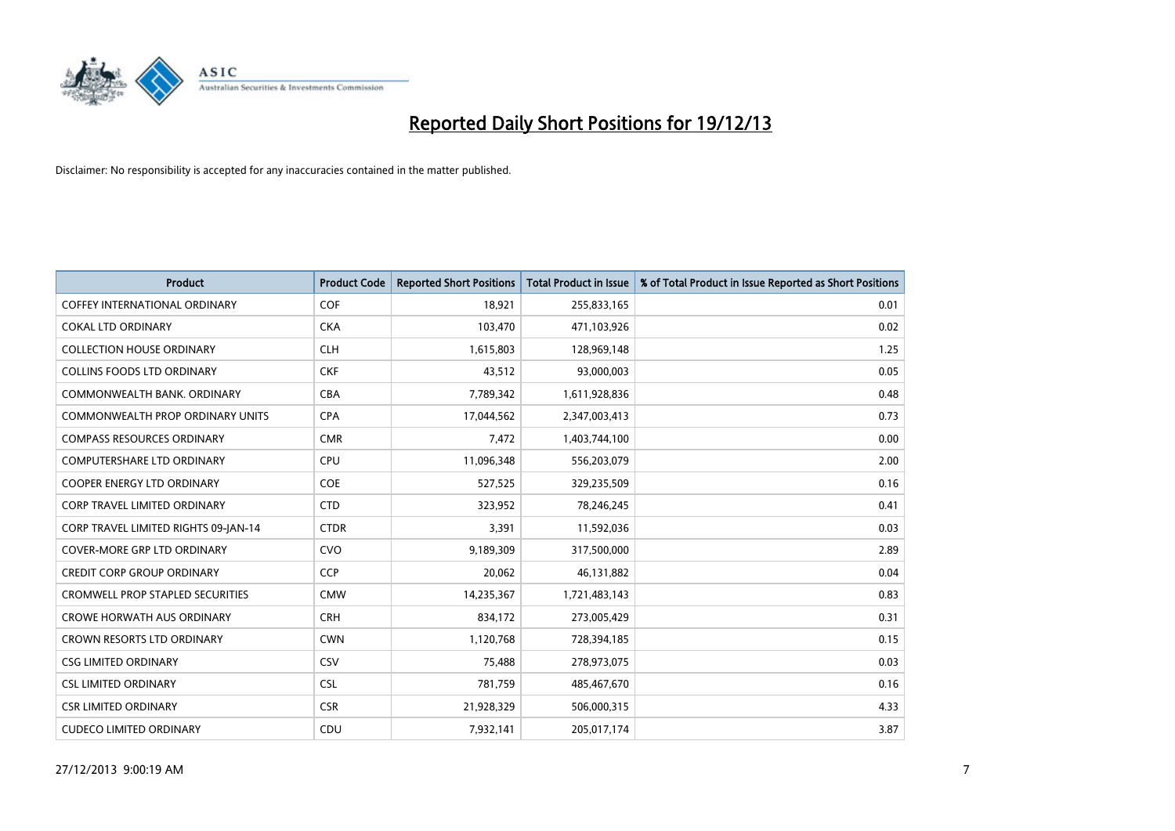

| <b>Product</b>                          | <b>Product Code</b> | <b>Reported Short Positions</b> | <b>Total Product in Issue</b> | % of Total Product in Issue Reported as Short Positions |
|-----------------------------------------|---------------------|---------------------------------|-------------------------------|---------------------------------------------------------|
| <b>COFFEY INTERNATIONAL ORDINARY</b>    | <b>COF</b>          | 18,921                          | 255,833,165                   | 0.01                                                    |
| <b>COKAL LTD ORDINARY</b>               | <b>CKA</b>          | 103,470                         | 471,103,926                   | 0.02                                                    |
| <b>COLLECTION HOUSE ORDINARY</b>        | <b>CLH</b>          | 1,615,803                       | 128,969,148                   | 1.25                                                    |
| <b>COLLINS FOODS LTD ORDINARY</b>       | <b>CKF</b>          | 43,512                          | 93,000,003                    | 0.05                                                    |
| COMMONWEALTH BANK, ORDINARY             | <b>CBA</b>          | 7,789,342                       | 1,611,928,836                 | 0.48                                                    |
| <b>COMMONWEALTH PROP ORDINARY UNITS</b> | <b>CPA</b>          | 17,044,562                      | 2,347,003,413                 | 0.73                                                    |
| <b>COMPASS RESOURCES ORDINARY</b>       | <b>CMR</b>          | 7,472                           | 1,403,744,100                 | 0.00                                                    |
| <b>COMPUTERSHARE LTD ORDINARY</b>       | <b>CPU</b>          | 11,096,348                      | 556,203,079                   | 2.00                                                    |
| <b>COOPER ENERGY LTD ORDINARY</b>       | <b>COE</b>          | 527,525                         | 329,235,509                   | 0.16                                                    |
| <b>CORP TRAVEL LIMITED ORDINARY</b>     | <b>CTD</b>          | 323,952                         | 78,246,245                    | 0.41                                                    |
| CORP TRAVEL LIMITED RIGHTS 09-JAN-14    | <b>CTDR</b>         | 3,391                           | 11,592,036                    | 0.03                                                    |
| <b>COVER-MORE GRP LTD ORDINARY</b>      | <b>CVO</b>          | 9,189,309                       | 317,500,000                   | 2.89                                                    |
| <b>CREDIT CORP GROUP ORDINARY</b>       | <b>CCP</b>          | 20,062                          | 46,131,882                    | 0.04                                                    |
| <b>CROMWELL PROP STAPLED SECURITIES</b> | <b>CMW</b>          | 14,235,367                      | 1,721,483,143                 | 0.83                                                    |
| <b>CROWE HORWATH AUS ORDINARY</b>       | <b>CRH</b>          | 834,172                         | 273,005,429                   | 0.31                                                    |
| CROWN RESORTS LTD ORDINARY              | <b>CWN</b>          | 1,120,768                       | 728,394,185                   | 0.15                                                    |
| <b>CSG LIMITED ORDINARY</b>             | CSV                 | 75,488                          | 278,973,075                   | 0.03                                                    |
| <b>CSL LIMITED ORDINARY</b>             | <b>CSL</b>          | 781,759                         | 485,467,670                   | 0.16                                                    |
| <b>CSR LIMITED ORDINARY</b>             | <b>CSR</b>          | 21,928,329                      | 506,000,315                   | 4.33                                                    |
| <b>CUDECO LIMITED ORDINARY</b>          | CDU                 | 7,932,141                       | 205,017,174                   | 3.87                                                    |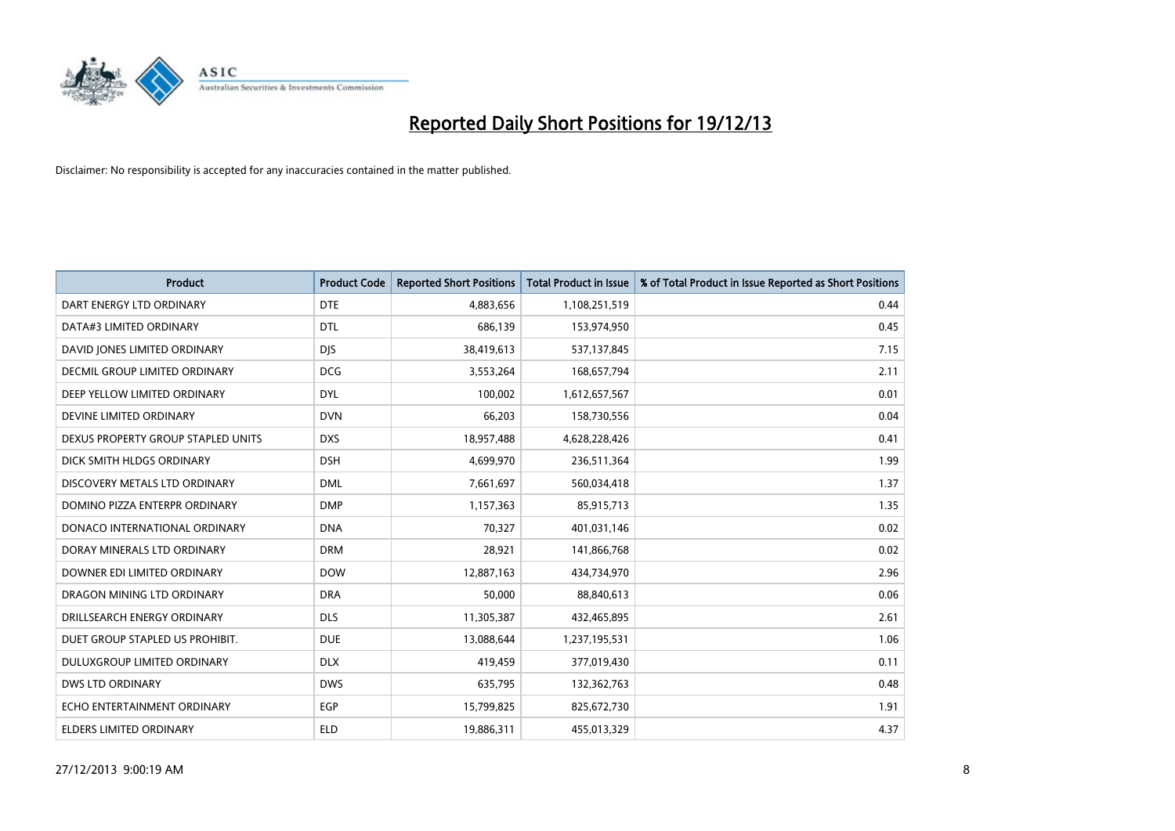

| <b>Product</b>                       | <b>Product Code</b> | <b>Reported Short Positions</b> | <b>Total Product in Issue</b> | % of Total Product in Issue Reported as Short Positions |
|--------------------------------------|---------------------|---------------------------------|-------------------------------|---------------------------------------------------------|
| DART ENERGY LTD ORDINARY             | <b>DTE</b>          | 4,883,656                       | 1,108,251,519                 | 0.44                                                    |
| DATA#3 LIMITED ORDINARY              | <b>DTL</b>          | 686,139                         | 153,974,950                   | 0.45                                                    |
| DAVID JONES LIMITED ORDINARY         | <b>DJS</b>          | 38,419,613                      | 537,137,845                   | 7.15                                                    |
| <b>DECMIL GROUP LIMITED ORDINARY</b> | <b>DCG</b>          | 3,553,264                       | 168,657,794                   | 2.11                                                    |
| DEEP YELLOW LIMITED ORDINARY         | <b>DYL</b>          | 100,002                         | 1,612,657,567                 | 0.01                                                    |
| DEVINE LIMITED ORDINARY              | <b>DVN</b>          | 66,203                          | 158,730,556                   | 0.04                                                    |
| DEXUS PROPERTY GROUP STAPLED UNITS   | <b>DXS</b>          | 18,957,488                      | 4,628,228,426                 | 0.41                                                    |
| DICK SMITH HLDGS ORDINARY            | <b>DSH</b>          | 4,699,970                       | 236,511,364                   | 1.99                                                    |
| DISCOVERY METALS LTD ORDINARY        | <b>DML</b>          | 7,661,697                       | 560,034,418                   | 1.37                                                    |
| DOMINO PIZZA ENTERPR ORDINARY        | <b>DMP</b>          | 1,157,363                       | 85,915,713                    | 1.35                                                    |
| DONACO INTERNATIONAL ORDINARY        | <b>DNA</b>          | 70,327                          | 401,031,146                   | 0.02                                                    |
| DORAY MINERALS LTD ORDINARY          | <b>DRM</b>          | 28,921                          | 141,866,768                   | 0.02                                                    |
| DOWNER EDI LIMITED ORDINARY          | <b>DOW</b>          | 12,887,163                      | 434,734,970                   | 2.96                                                    |
| DRAGON MINING LTD ORDINARY           | <b>DRA</b>          | 50,000                          | 88,840,613                    | 0.06                                                    |
| DRILLSEARCH ENERGY ORDINARY          | <b>DLS</b>          | 11,305,387                      | 432,465,895                   | 2.61                                                    |
| DUET GROUP STAPLED US PROHIBIT.      | <b>DUE</b>          | 13,088,644                      | 1,237,195,531                 | 1.06                                                    |
| DULUXGROUP LIMITED ORDINARY          | <b>DLX</b>          | 419,459                         | 377,019,430                   | 0.11                                                    |
| <b>DWS LTD ORDINARY</b>              | <b>DWS</b>          | 635,795                         | 132,362,763                   | 0.48                                                    |
| ECHO ENTERTAINMENT ORDINARY          | <b>EGP</b>          | 15,799,825                      | 825,672,730                   | 1.91                                                    |
| ELDERS LIMITED ORDINARY              | <b>ELD</b>          | 19,886,311                      | 455,013,329                   | 4.37                                                    |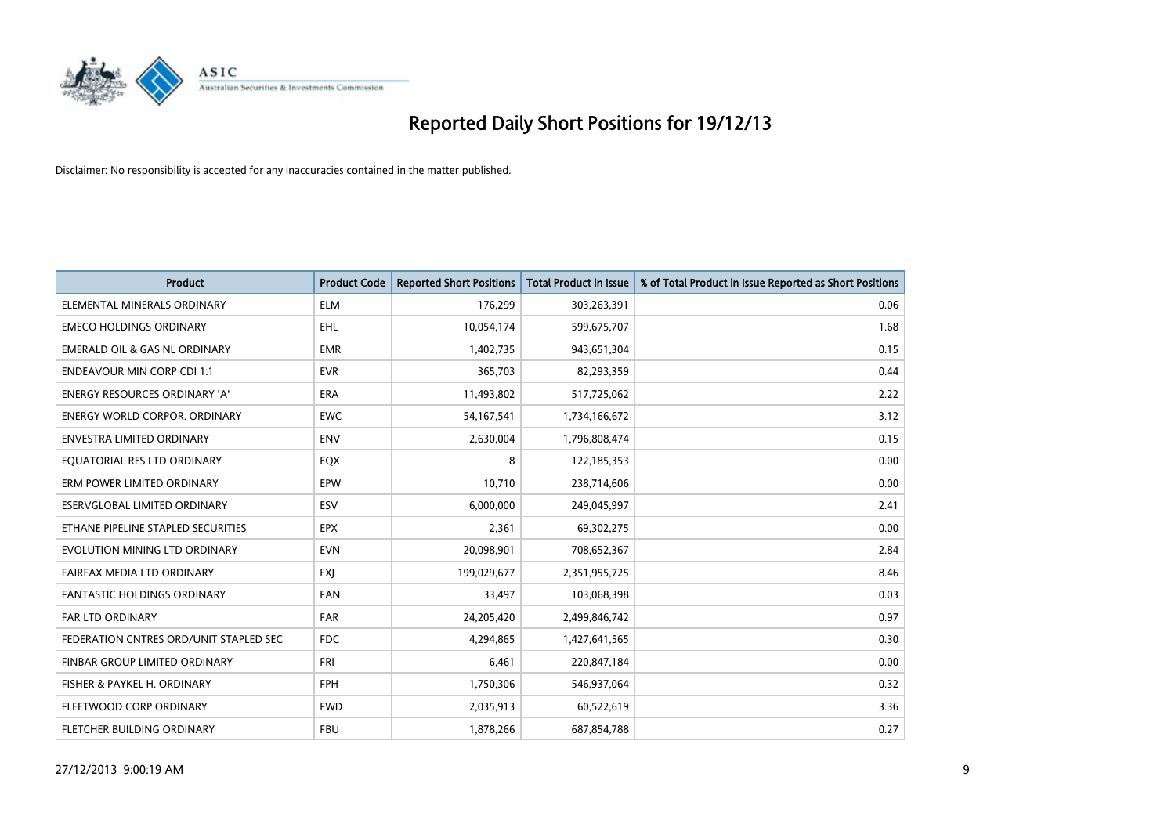

| <b>Product</b>                           | <b>Product Code</b> | <b>Reported Short Positions</b> | <b>Total Product in Issue</b> | % of Total Product in Issue Reported as Short Positions |
|------------------------------------------|---------------------|---------------------------------|-------------------------------|---------------------------------------------------------|
| ELEMENTAL MINERALS ORDINARY              | <b>ELM</b>          | 176,299                         | 303,263,391                   | 0.06                                                    |
| <b>EMECO HOLDINGS ORDINARY</b>           | <b>EHL</b>          | 10,054,174                      | 599,675,707                   | 1.68                                                    |
| <b>EMERALD OIL &amp; GAS NL ORDINARY</b> | <b>EMR</b>          | 1,402,735                       | 943,651,304                   | 0.15                                                    |
| <b>ENDEAVOUR MIN CORP CDI 1:1</b>        | <b>EVR</b>          | 365,703                         | 82,293,359                    | 0.44                                                    |
| <b>ENERGY RESOURCES ORDINARY 'A'</b>     | <b>ERA</b>          | 11,493,802                      | 517,725,062                   | 2.22                                                    |
| <b>ENERGY WORLD CORPOR, ORDINARY</b>     | <b>EWC</b>          | 54,167,541                      | 1,734,166,672                 | 3.12                                                    |
| <b>ENVESTRA LIMITED ORDINARY</b>         | <b>ENV</b>          | 2,630,004                       | 1,796,808,474                 | 0.15                                                    |
| EQUATORIAL RES LTD ORDINARY              | EQX                 | 8                               | 122,185,353                   | 0.00                                                    |
| ERM POWER LIMITED ORDINARY               | <b>EPW</b>          | 10,710                          | 238,714,606                   | 0.00                                                    |
| ESERVGLOBAL LIMITED ORDINARY             | ESV                 | 6,000,000                       | 249,045,997                   | 2.41                                                    |
| ETHANE PIPELINE STAPLED SECURITIES       | <b>EPX</b>          | 2,361                           | 69,302,275                    | 0.00                                                    |
| EVOLUTION MINING LTD ORDINARY            | <b>EVN</b>          | 20,098,901                      | 708,652,367                   | 2.84                                                    |
| FAIRFAX MEDIA LTD ORDINARY               | <b>FXI</b>          | 199,029,677                     | 2,351,955,725                 | 8.46                                                    |
| <b>FANTASTIC HOLDINGS ORDINARY</b>       | <b>FAN</b>          | 33,497                          | 103,068,398                   | 0.03                                                    |
| <b>FAR LTD ORDINARY</b>                  | <b>FAR</b>          | 24,205,420                      | 2,499,846,742                 | 0.97                                                    |
| FEDERATION CNTRES ORD/UNIT STAPLED SEC   | <b>FDC</b>          | 4,294,865                       | 1,427,641,565                 | 0.30                                                    |
| FINBAR GROUP LIMITED ORDINARY            | FRI                 | 6,461                           | 220,847,184                   | 0.00                                                    |
| FISHER & PAYKEL H. ORDINARY              | <b>FPH</b>          | 1,750,306                       | 546,937,064                   | 0.32                                                    |
| FLEETWOOD CORP ORDINARY                  | <b>FWD</b>          | 2,035,913                       | 60,522,619                    | 3.36                                                    |
| FLETCHER BUILDING ORDINARY               | <b>FBU</b>          | 1,878,266                       | 687,854,788                   | 0.27                                                    |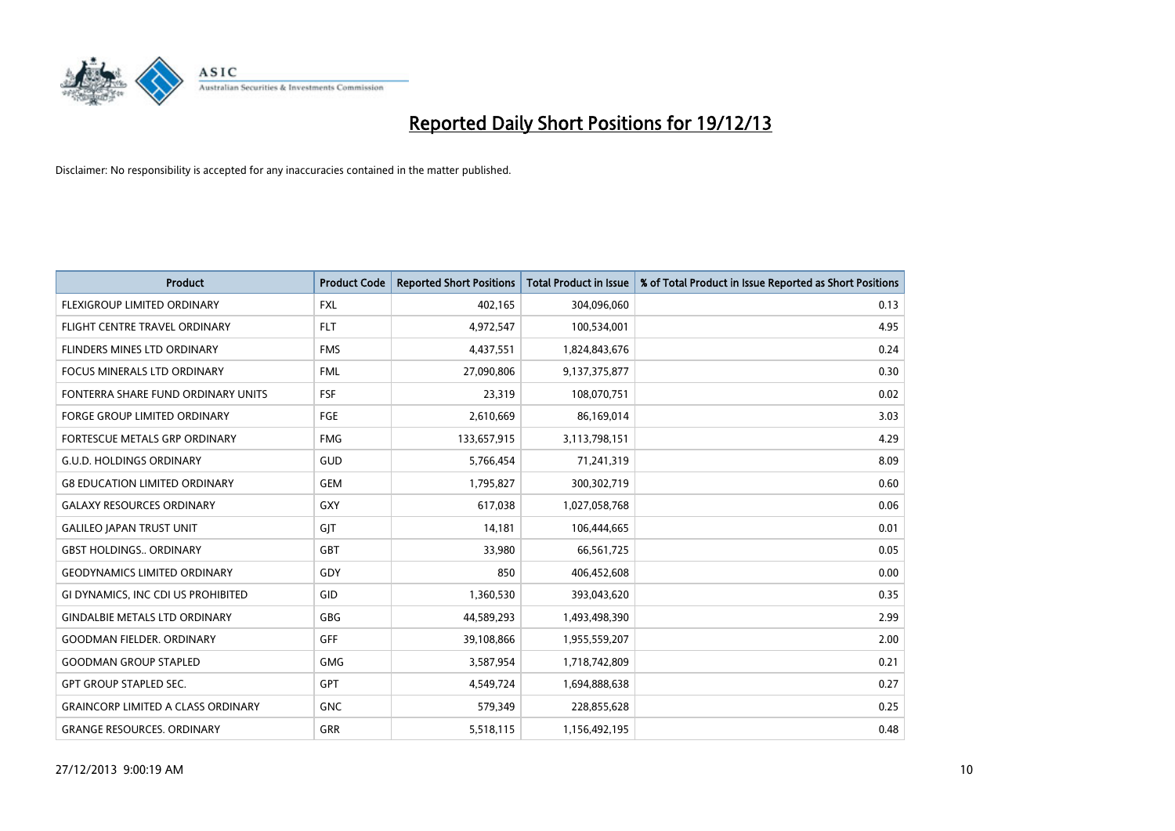

| <b>Product</b>                            | <b>Product Code</b> | <b>Reported Short Positions</b> | <b>Total Product in Issue</b> | % of Total Product in Issue Reported as Short Positions |
|-------------------------------------------|---------------------|---------------------------------|-------------------------------|---------------------------------------------------------|
| FLEXIGROUP LIMITED ORDINARY               | <b>FXL</b>          | 402,165                         | 304,096,060                   | 0.13                                                    |
| FLIGHT CENTRE TRAVEL ORDINARY             | <b>FLT</b>          | 4,972,547                       | 100,534,001                   | 4.95                                                    |
| FLINDERS MINES LTD ORDINARY               | <b>FMS</b>          | 4,437,551                       | 1,824,843,676                 | 0.24                                                    |
| FOCUS MINERALS LTD ORDINARY               | <b>FML</b>          | 27,090,806                      | 9,137,375,877                 | 0.30                                                    |
| FONTERRA SHARE FUND ORDINARY UNITS        | <b>FSF</b>          | 23,319                          | 108,070,751                   | 0.02                                                    |
| FORGE GROUP LIMITED ORDINARY              | FGE                 | 2,610,669                       | 86,169,014                    | 3.03                                                    |
| FORTESCUE METALS GRP ORDINARY             | <b>FMG</b>          | 133,657,915                     | 3,113,798,151                 | 4.29                                                    |
| <b>G.U.D. HOLDINGS ORDINARY</b>           | GUD                 | 5,766,454                       | 71,241,319                    | 8.09                                                    |
| <b>G8 EDUCATION LIMITED ORDINARY</b>      | <b>GEM</b>          | 1,795,827                       | 300,302,719                   | 0.60                                                    |
| <b>GALAXY RESOURCES ORDINARY</b>          | GXY                 | 617,038                         | 1,027,058,768                 | 0.06                                                    |
| <b>GALILEO JAPAN TRUST UNIT</b>           | GIT                 | 14,181                          | 106,444,665                   | 0.01                                                    |
| <b>GBST HOLDINGS., ORDINARY</b>           | GBT                 | 33,980                          | 66,561,725                    | 0.05                                                    |
| <b>GEODYNAMICS LIMITED ORDINARY</b>       | GDY                 | 850                             | 406,452,608                   | 0.00                                                    |
| GI DYNAMICS, INC CDI US PROHIBITED        | GID                 | 1,360,530                       | 393,043,620                   | 0.35                                                    |
| <b>GINDALBIE METALS LTD ORDINARY</b>      | GBG                 | 44,589,293                      | 1,493,498,390                 | 2.99                                                    |
| <b>GOODMAN FIELDER. ORDINARY</b>          | <b>GFF</b>          | 39,108,866                      | 1,955,559,207                 | 2.00                                                    |
| <b>GOODMAN GROUP STAPLED</b>              | GMG                 | 3,587,954                       | 1,718,742,809                 | 0.21                                                    |
| <b>GPT GROUP STAPLED SEC.</b>             | <b>GPT</b>          | 4,549,724                       | 1,694,888,638                 | 0.27                                                    |
| <b>GRAINCORP LIMITED A CLASS ORDINARY</b> | <b>GNC</b>          | 579,349                         | 228,855,628                   | 0.25                                                    |
| <b>GRANGE RESOURCES. ORDINARY</b>         | GRR                 | 5,518,115                       | 1,156,492,195                 | 0.48                                                    |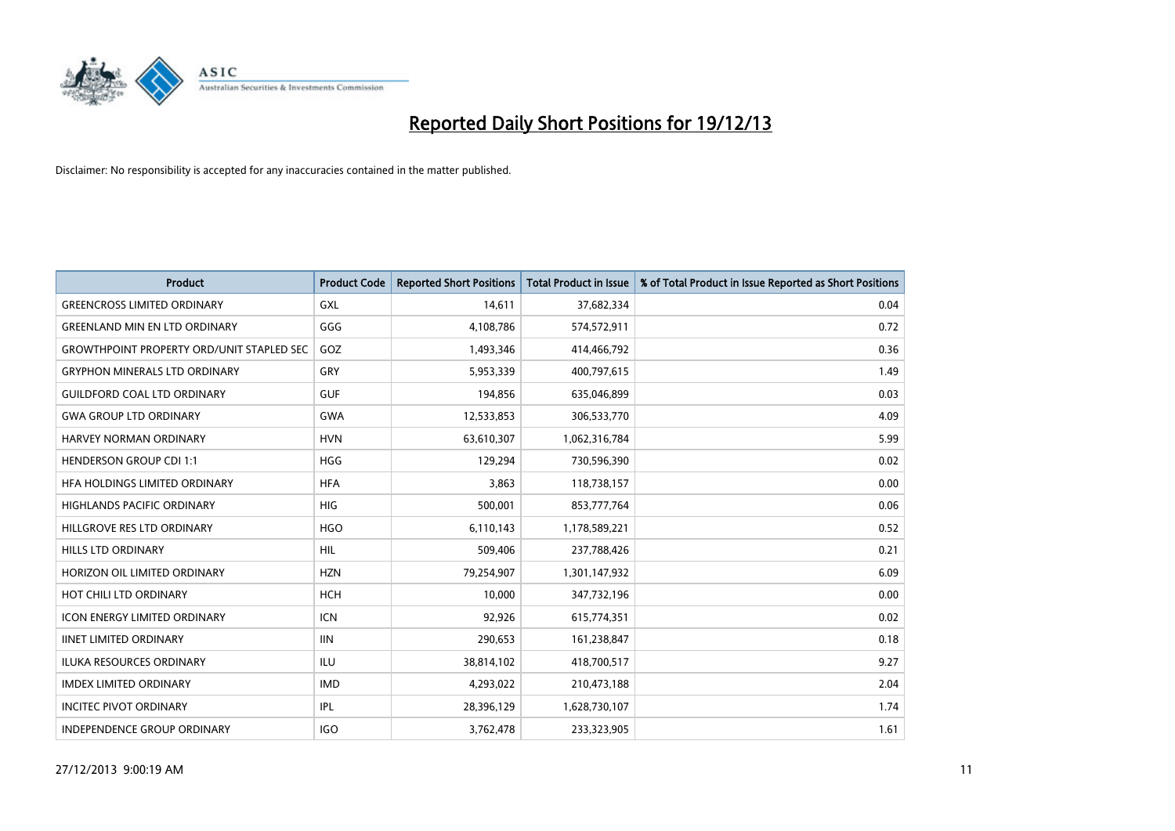

| <b>Product</b>                                   | <b>Product Code</b> | <b>Reported Short Positions</b> | <b>Total Product in Issue</b> | % of Total Product in Issue Reported as Short Positions |
|--------------------------------------------------|---------------------|---------------------------------|-------------------------------|---------------------------------------------------------|
| <b>GREENCROSS LIMITED ORDINARY</b>               | GXL                 | 14,611                          | 37,682,334                    | 0.04                                                    |
| <b>GREENLAND MIN EN LTD ORDINARY</b>             | GGG                 | 4,108,786                       | 574,572,911                   | 0.72                                                    |
| <b>GROWTHPOINT PROPERTY ORD/UNIT STAPLED SEC</b> | GOZ                 | 1,493,346                       | 414,466,792                   | 0.36                                                    |
| <b>GRYPHON MINERALS LTD ORDINARY</b>             | GRY                 | 5,953,339                       | 400,797,615                   | 1.49                                                    |
| <b>GUILDFORD COAL LTD ORDINARY</b>               | <b>GUF</b>          | 194.856                         | 635,046,899                   | 0.03                                                    |
| <b>GWA GROUP LTD ORDINARY</b>                    | <b>GWA</b>          | 12,533,853                      | 306,533,770                   | 4.09                                                    |
| <b>HARVEY NORMAN ORDINARY</b>                    | <b>HVN</b>          | 63,610,307                      | 1,062,316,784                 | 5.99                                                    |
| <b>HENDERSON GROUP CDI 1:1</b>                   | <b>HGG</b>          | 129,294                         | 730,596,390                   | 0.02                                                    |
| HFA HOLDINGS LIMITED ORDINARY                    | <b>HFA</b>          | 3,863                           | 118,738,157                   | 0.00                                                    |
| <b>HIGHLANDS PACIFIC ORDINARY</b>                | <b>HIG</b>          | 500,001                         | 853,777,764                   | 0.06                                                    |
| HILLGROVE RES LTD ORDINARY                       | <b>HGO</b>          | 6,110,143                       | 1,178,589,221                 | 0.52                                                    |
| <b>HILLS LTD ORDINARY</b>                        | HIL                 | 509,406                         | 237,788,426                   | 0.21                                                    |
| HORIZON OIL LIMITED ORDINARY                     | <b>HZN</b>          | 79,254,907                      | 1,301,147,932                 | 6.09                                                    |
| HOT CHILI LTD ORDINARY                           | <b>HCH</b>          | 10.000                          | 347,732,196                   | 0.00                                                    |
| <b>ICON ENERGY LIMITED ORDINARY</b>              | ICN                 | 92,926                          | 615,774,351                   | 0.02                                                    |
| <b>IINET LIMITED ORDINARY</b>                    | <b>IIN</b>          | 290,653                         | 161,238,847                   | 0.18                                                    |
| <b>ILUKA RESOURCES ORDINARY</b>                  | ILU                 | 38,814,102                      | 418,700,517                   | 9.27                                                    |
| <b>IMDEX LIMITED ORDINARY</b>                    | <b>IMD</b>          | 4,293,022                       | 210,473,188                   | 2.04                                                    |
| <b>INCITEC PIVOT ORDINARY</b>                    | <b>IPL</b>          | 28,396,129                      | 1,628,730,107                 | 1.74                                                    |
| INDEPENDENCE GROUP ORDINARY                      | <b>IGO</b>          | 3,762,478                       | 233,323,905                   | 1.61                                                    |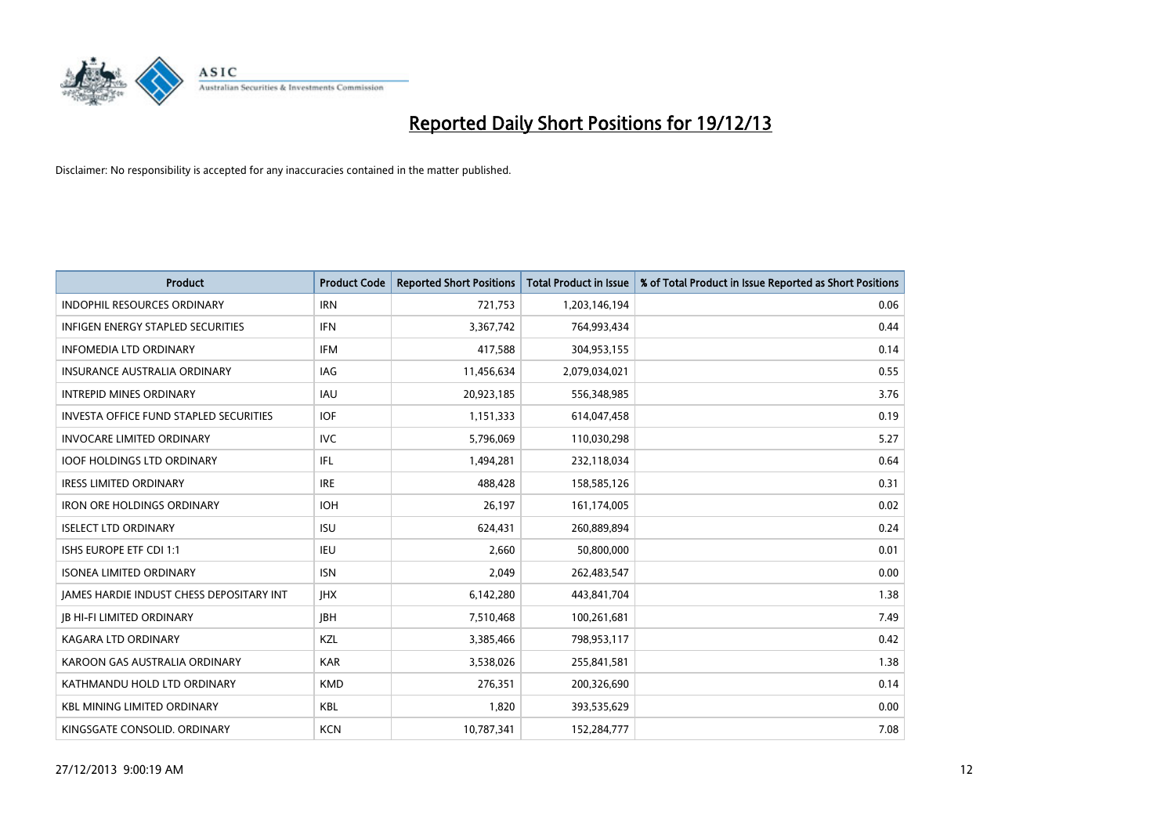

| <b>Product</b>                                | <b>Product Code</b> | <b>Reported Short Positions</b> | <b>Total Product in Issue</b> | % of Total Product in Issue Reported as Short Positions |
|-----------------------------------------------|---------------------|---------------------------------|-------------------------------|---------------------------------------------------------|
| <b>INDOPHIL RESOURCES ORDINARY</b>            | <b>IRN</b>          | 721,753                         | 1,203,146,194                 | 0.06                                                    |
| <b>INFIGEN ENERGY STAPLED SECURITIES</b>      | <b>IFN</b>          | 3,367,742                       | 764,993,434                   | 0.44                                                    |
| <b>INFOMEDIA LTD ORDINARY</b>                 | <b>IFM</b>          | 417,588                         | 304,953,155                   | 0.14                                                    |
| <b>INSURANCE AUSTRALIA ORDINARY</b>           | <b>IAG</b>          | 11,456,634                      | 2,079,034,021                 | 0.55                                                    |
| <b>INTREPID MINES ORDINARY</b>                | <b>IAU</b>          | 20,923,185                      | 556,348,985                   | 3.76                                                    |
| <b>INVESTA OFFICE FUND STAPLED SECURITIES</b> | <b>IOF</b>          | 1,151,333                       | 614,047,458                   | 0.19                                                    |
| <b>INVOCARE LIMITED ORDINARY</b>              | <b>IVC</b>          | 5,796,069                       | 110,030,298                   | 5.27                                                    |
| <b>IOOF HOLDINGS LTD ORDINARY</b>             | IFL                 | 1,494,281                       | 232,118,034                   | 0.64                                                    |
| <b>IRESS LIMITED ORDINARY</b>                 | <b>IRE</b>          | 488,428                         | 158,585,126                   | 0.31                                                    |
| <b>IRON ORE HOLDINGS ORDINARY</b>             | <b>IOH</b>          | 26,197                          | 161,174,005                   | 0.02                                                    |
| <b>ISELECT LTD ORDINARY</b>                   | <b>ISU</b>          | 624,431                         | 260,889,894                   | 0.24                                                    |
| ISHS EUROPE ETF CDI 1:1                       | IEU                 | 2,660                           | 50,800,000                    | 0.01                                                    |
| <b>ISONEA LIMITED ORDINARY</b>                | <b>ISN</b>          | 2,049                           | 262,483,547                   | 0.00                                                    |
| JAMES HARDIE INDUST CHESS DEPOSITARY INT      | <b>IHX</b>          | 6,142,280                       | 443,841,704                   | 1.38                                                    |
| <b>JB HI-FI LIMITED ORDINARY</b>              | <b>IBH</b>          | 7,510,468                       | 100,261,681                   | 7.49                                                    |
| <b>KAGARA LTD ORDINARY</b>                    | KZL                 | 3,385,466                       | 798,953,117                   | 0.42                                                    |
| KAROON GAS AUSTRALIA ORDINARY                 | <b>KAR</b>          | 3,538,026                       | 255,841,581                   | 1.38                                                    |
| KATHMANDU HOLD LTD ORDINARY                   | <b>KMD</b>          | 276,351                         | 200,326,690                   | 0.14                                                    |
| <b>KBL MINING LIMITED ORDINARY</b>            | <b>KBL</b>          | 1,820                           | 393,535,629                   | 0.00                                                    |
| KINGSGATE CONSOLID. ORDINARY                  | <b>KCN</b>          | 10,787,341                      | 152,284,777                   | 7.08                                                    |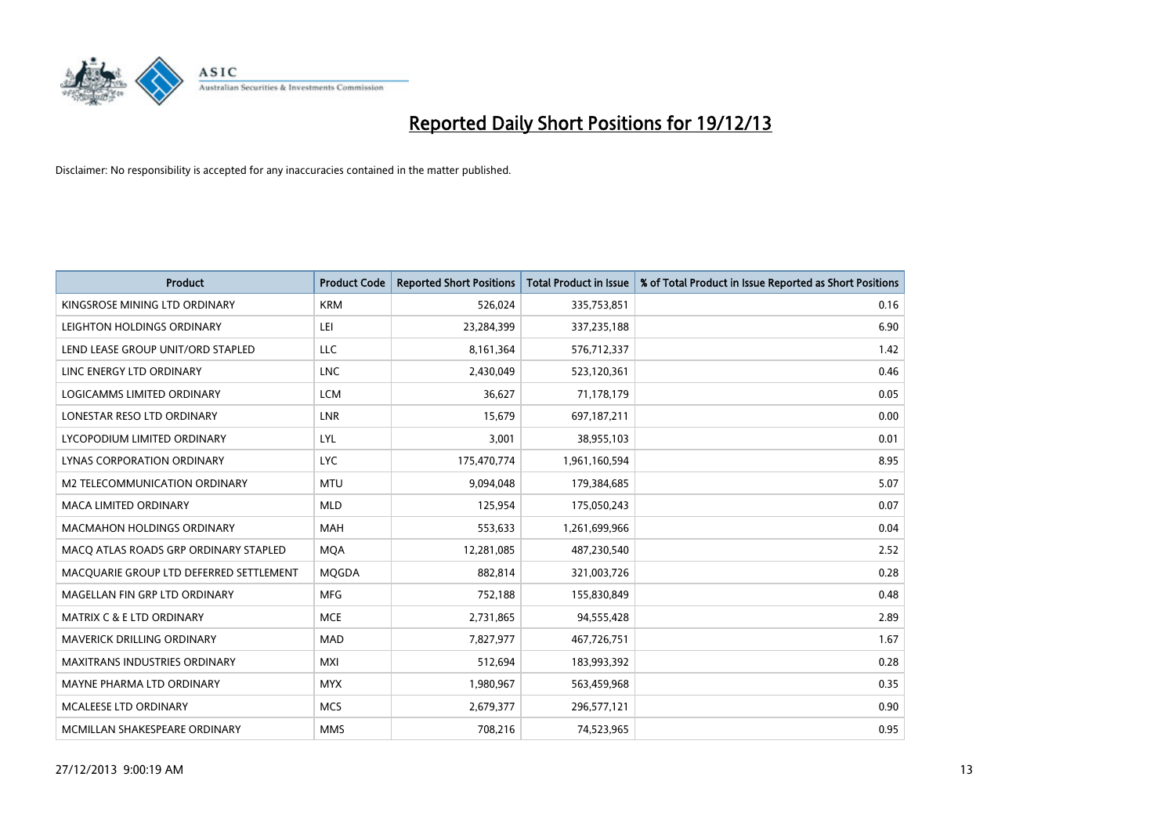

| <b>Product</b>                          | <b>Product Code</b> | <b>Reported Short Positions</b> | <b>Total Product in Issue</b> | % of Total Product in Issue Reported as Short Positions |
|-----------------------------------------|---------------------|---------------------------------|-------------------------------|---------------------------------------------------------|
| KINGSROSE MINING LTD ORDINARY           | <b>KRM</b>          | 526,024                         | 335,753,851                   | 0.16                                                    |
| LEIGHTON HOLDINGS ORDINARY              | LEI                 | 23,284,399                      | 337,235,188                   | 6.90                                                    |
| LEND LEASE GROUP UNIT/ORD STAPLED       | <b>LLC</b>          | 8,161,364                       | 576,712,337                   | 1.42                                                    |
| LINC ENERGY LTD ORDINARY                | <b>LNC</b>          | 2,430,049                       | 523,120,361                   | 0.46                                                    |
| LOGICAMMS LIMITED ORDINARY              | <b>LCM</b>          | 36,627                          | 71,178,179                    | 0.05                                                    |
| LONESTAR RESO LTD ORDINARY              | <b>LNR</b>          | 15,679                          | 697,187,211                   | 0.00                                                    |
| LYCOPODIUM LIMITED ORDINARY             | <b>LYL</b>          | 3,001                           | 38,955,103                    | 0.01                                                    |
| LYNAS CORPORATION ORDINARY              | <b>LYC</b>          | 175,470,774                     | 1,961,160,594                 | 8.95                                                    |
| <b>M2 TELECOMMUNICATION ORDINARY</b>    | <b>MTU</b>          | 9,094,048                       | 179,384,685                   | 5.07                                                    |
| <b>MACA LIMITED ORDINARY</b>            | <b>MLD</b>          | 125,954                         | 175,050,243                   | 0.07                                                    |
| MACMAHON HOLDINGS ORDINARY              | MAH                 | 553,633                         | 1,261,699,966                 | 0.04                                                    |
| MACO ATLAS ROADS GRP ORDINARY STAPLED   | <b>MQA</b>          | 12,281,085                      | 487,230,540                   | 2.52                                                    |
| MACQUARIE GROUP LTD DEFERRED SETTLEMENT | <b>MOGDA</b>        | 882,814                         | 321,003,726                   | 0.28                                                    |
| MAGELLAN FIN GRP LTD ORDINARY           | <b>MFG</b>          | 752,188                         | 155,830,849                   | 0.48                                                    |
| <b>MATRIX C &amp; E LTD ORDINARY</b>    | <b>MCE</b>          | 2,731,865                       | 94,555,428                    | 2.89                                                    |
| MAVERICK DRILLING ORDINARY              | <b>MAD</b>          | 7,827,977                       | 467,726,751                   | 1.67                                                    |
| MAXITRANS INDUSTRIES ORDINARY           | <b>MXI</b>          | 512,694                         | 183,993,392                   | 0.28                                                    |
| MAYNE PHARMA LTD ORDINARY               | <b>MYX</b>          | 1,980,967                       | 563,459,968                   | 0.35                                                    |
| <b>MCALEESE LTD ORDINARY</b>            | <b>MCS</b>          | 2,679,377                       | 296,577,121                   | 0.90                                                    |
| MCMILLAN SHAKESPEARE ORDINARY           | <b>MMS</b>          | 708,216                         | 74,523,965                    | 0.95                                                    |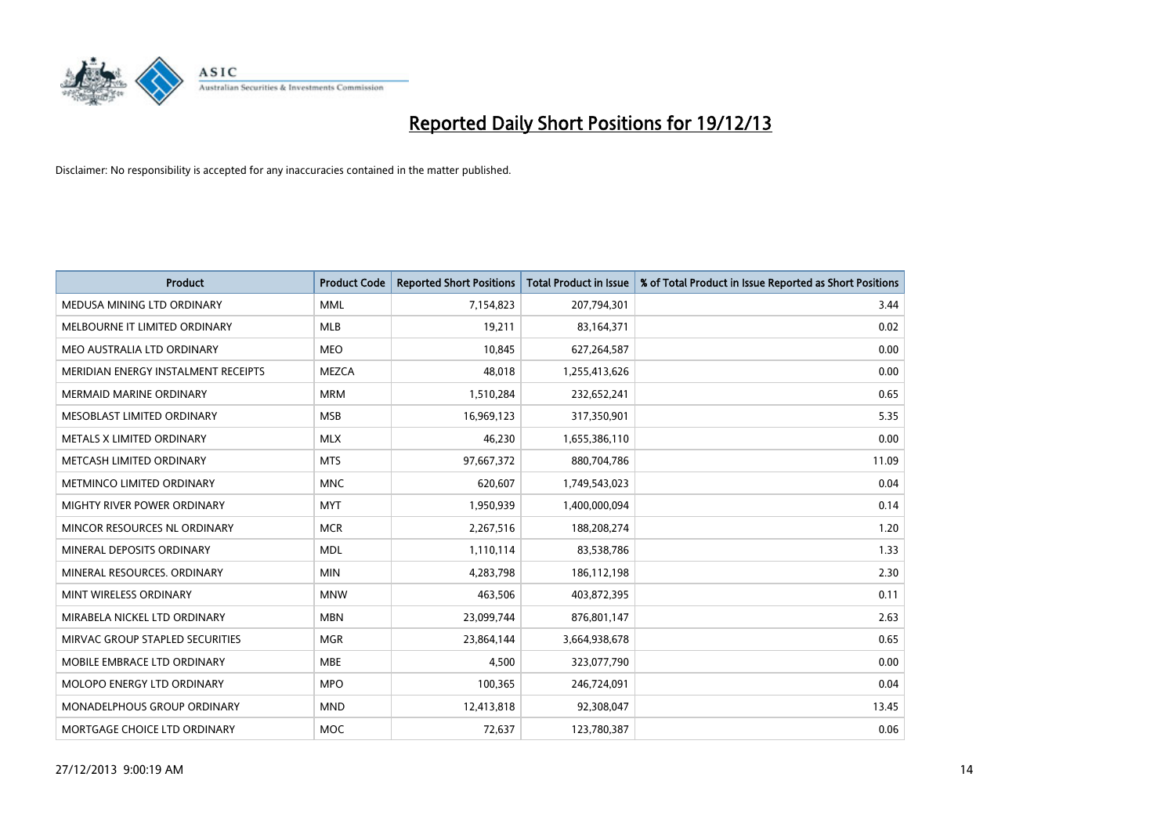

| <b>Product</b>                      | <b>Product Code</b> | <b>Reported Short Positions</b> | <b>Total Product in Issue</b> | % of Total Product in Issue Reported as Short Positions |
|-------------------------------------|---------------------|---------------------------------|-------------------------------|---------------------------------------------------------|
| MEDUSA MINING LTD ORDINARY          | <b>MML</b>          | 7,154,823                       | 207,794,301                   | 3.44                                                    |
| MELBOURNE IT LIMITED ORDINARY       | <b>MLB</b>          | 19,211                          | 83,164,371                    | 0.02                                                    |
| MEO AUSTRALIA LTD ORDINARY          | <b>MEO</b>          | 10,845                          | 627,264,587                   | 0.00                                                    |
| MERIDIAN ENERGY INSTALMENT RECEIPTS | <b>MEZCA</b>        | 48,018                          | 1,255,413,626                 | 0.00                                                    |
| <b>MERMAID MARINE ORDINARY</b>      | <b>MRM</b>          | 1,510,284                       | 232,652,241                   | 0.65                                                    |
| MESOBLAST LIMITED ORDINARY          | <b>MSB</b>          | 16,969,123                      | 317,350,901                   | 5.35                                                    |
| METALS X LIMITED ORDINARY           | <b>MLX</b>          | 46,230                          | 1,655,386,110                 | 0.00                                                    |
| METCASH LIMITED ORDINARY            | <b>MTS</b>          | 97,667,372                      | 880,704,786                   | 11.09                                                   |
| METMINCO LIMITED ORDINARY           | <b>MNC</b>          | 620,607                         | 1,749,543,023                 | 0.04                                                    |
| MIGHTY RIVER POWER ORDINARY         | <b>MYT</b>          | 1,950,939                       | 1,400,000,094                 | 0.14                                                    |
| MINCOR RESOURCES NL ORDINARY        | <b>MCR</b>          | 2,267,516                       | 188,208,274                   | 1.20                                                    |
| MINERAL DEPOSITS ORDINARY           | <b>MDL</b>          | 1,110,114                       | 83,538,786                    | 1.33                                                    |
| MINERAL RESOURCES. ORDINARY         | <b>MIN</b>          | 4,283,798                       | 186,112,198                   | 2.30                                                    |
| MINT WIRELESS ORDINARY              | <b>MNW</b>          | 463,506                         | 403,872,395                   | 0.11                                                    |
| MIRABELA NICKEL LTD ORDINARY        | <b>MBN</b>          | 23,099,744                      | 876,801,147                   | 2.63                                                    |
| MIRVAC GROUP STAPLED SECURITIES     | <b>MGR</b>          | 23,864,144                      | 3,664,938,678                 | 0.65                                                    |
| MOBILE EMBRACE LTD ORDINARY         | <b>MBE</b>          | 4,500                           | 323,077,790                   | 0.00                                                    |
| MOLOPO ENERGY LTD ORDINARY          | <b>MPO</b>          | 100,365                         | 246,724,091                   | 0.04                                                    |
| MONADELPHOUS GROUP ORDINARY         | <b>MND</b>          | 12,413,818                      | 92,308,047                    | 13.45                                                   |
| MORTGAGE CHOICE LTD ORDINARY        | <b>MOC</b>          | 72,637                          | 123,780,387                   | 0.06                                                    |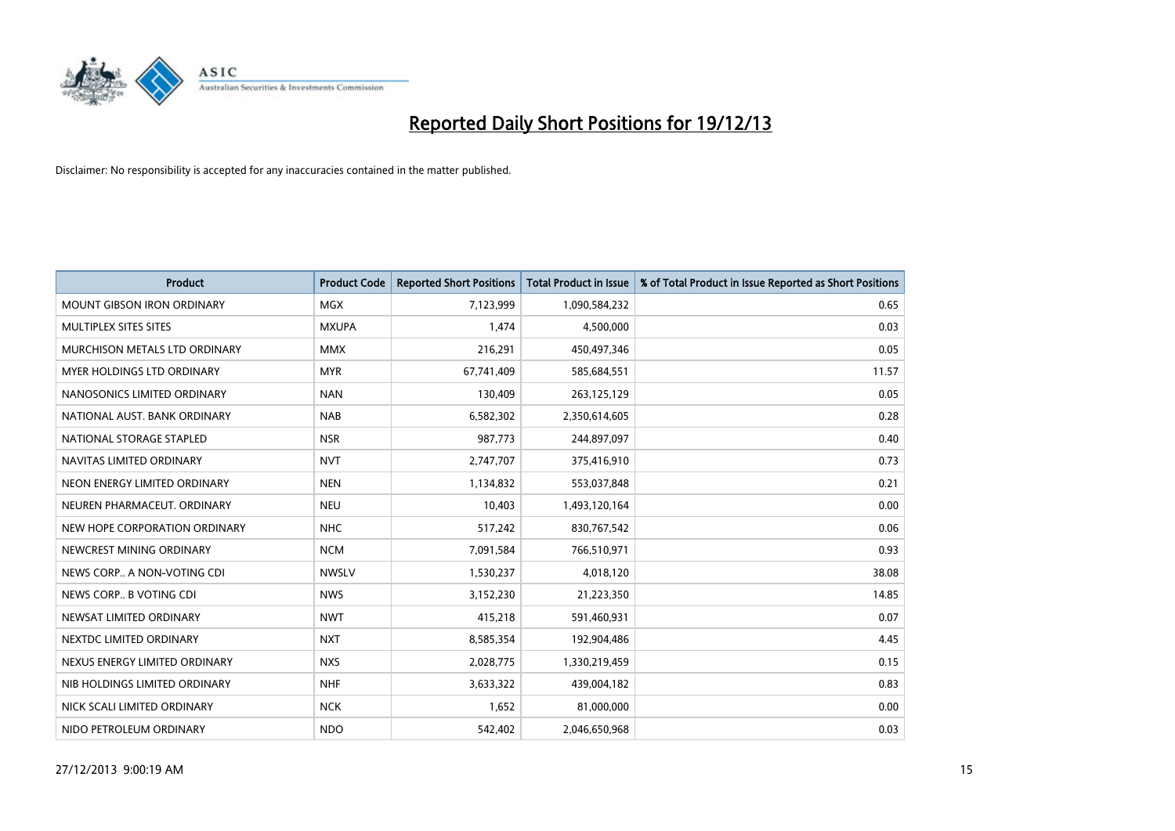

| <b>Product</b>                    | <b>Product Code</b> | <b>Reported Short Positions</b> | <b>Total Product in Issue</b> | % of Total Product in Issue Reported as Short Positions |
|-----------------------------------|---------------------|---------------------------------|-------------------------------|---------------------------------------------------------|
| <b>MOUNT GIBSON IRON ORDINARY</b> | MGX                 | 7,123,999                       | 1,090,584,232                 | 0.65                                                    |
| MULTIPLEX SITES SITES             | <b>MXUPA</b>        | 1,474                           | 4,500,000                     | 0.03                                                    |
| MURCHISON METALS LTD ORDINARY     | <b>MMX</b>          | 216,291                         | 450,497,346                   | 0.05                                                    |
| MYER HOLDINGS LTD ORDINARY        | <b>MYR</b>          | 67,741,409                      | 585,684,551                   | 11.57                                                   |
| NANOSONICS LIMITED ORDINARY       | <b>NAN</b>          | 130,409                         | 263,125,129                   | 0.05                                                    |
| NATIONAL AUST, BANK ORDINARY      | <b>NAB</b>          | 6,582,302                       | 2,350,614,605                 | 0.28                                                    |
| NATIONAL STORAGE STAPLED          | <b>NSR</b>          | 987,773                         | 244,897,097                   | 0.40                                                    |
| NAVITAS LIMITED ORDINARY          | <b>NVT</b>          | 2,747,707                       | 375,416,910                   | 0.73                                                    |
| NEON ENERGY LIMITED ORDINARY      | <b>NEN</b>          | 1,134,832                       | 553,037,848                   | 0.21                                                    |
| NEUREN PHARMACEUT, ORDINARY       | <b>NEU</b>          | 10,403                          | 1,493,120,164                 | 0.00                                                    |
| NEW HOPE CORPORATION ORDINARY     | <b>NHC</b>          | 517,242                         | 830,767,542                   | 0.06                                                    |
| NEWCREST MINING ORDINARY          | <b>NCM</b>          | 7,091,584                       | 766,510,971                   | 0.93                                                    |
| NEWS CORP A NON-VOTING CDI        | <b>NWSLV</b>        | 1,530,237                       | 4,018,120                     | 38.08                                                   |
| NEWS CORP B VOTING CDI            | <b>NWS</b>          | 3,152,230                       | 21,223,350                    | 14.85                                                   |
| NEWSAT LIMITED ORDINARY           | <b>NWT</b>          | 415,218                         | 591,460,931                   | 0.07                                                    |
| NEXTDC LIMITED ORDINARY           | <b>NXT</b>          | 8,585,354                       | 192,904,486                   | 4.45                                                    |
| NEXUS ENERGY LIMITED ORDINARY     | <b>NXS</b>          | 2,028,775                       | 1,330,219,459                 | 0.15                                                    |
| NIB HOLDINGS LIMITED ORDINARY     | <b>NHF</b>          | 3,633,322                       | 439,004,182                   | 0.83                                                    |
| NICK SCALI LIMITED ORDINARY       | <b>NCK</b>          | 1,652                           | 81,000,000                    | 0.00                                                    |
| NIDO PETROLEUM ORDINARY           | <b>NDO</b>          | 542,402                         | 2,046,650,968                 | 0.03                                                    |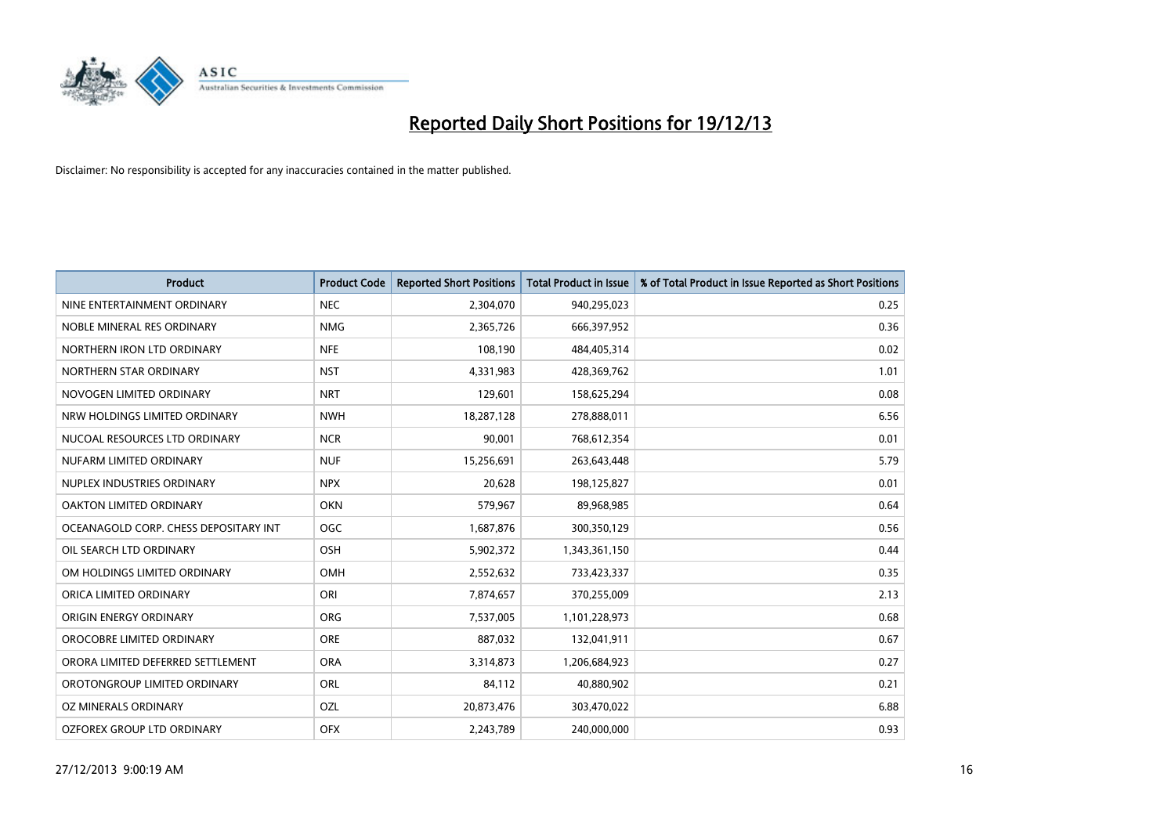

| <b>Product</b>                        | <b>Product Code</b> | <b>Reported Short Positions</b> | <b>Total Product in Issue</b> | % of Total Product in Issue Reported as Short Positions |
|---------------------------------------|---------------------|---------------------------------|-------------------------------|---------------------------------------------------------|
| NINE ENTERTAINMENT ORDINARY           | <b>NEC</b>          | 2,304,070                       | 940,295,023                   | 0.25                                                    |
| NOBLE MINERAL RES ORDINARY            | <b>NMG</b>          | 2,365,726                       | 666,397,952                   | 0.36                                                    |
| NORTHERN IRON LTD ORDINARY            | <b>NFE</b>          | 108,190                         | 484,405,314                   | 0.02                                                    |
| NORTHERN STAR ORDINARY                | <b>NST</b>          | 4,331,983                       | 428,369,762                   | 1.01                                                    |
| NOVOGEN LIMITED ORDINARY              | <b>NRT</b>          | 129,601                         | 158,625,294                   | 0.08                                                    |
| NRW HOLDINGS LIMITED ORDINARY         | <b>NWH</b>          | 18,287,128                      | 278,888,011                   | 6.56                                                    |
| NUCOAL RESOURCES LTD ORDINARY         | <b>NCR</b>          | 90,001                          | 768,612,354                   | 0.01                                                    |
| NUFARM LIMITED ORDINARY               | <b>NUF</b>          | 15,256,691                      | 263,643,448                   | 5.79                                                    |
| NUPLEX INDUSTRIES ORDINARY            | <b>NPX</b>          | 20,628                          | 198,125,827                   | 0.01                                                    |
| <b>OAKTON LIMITED ORDINARY</b>        | <b>OKN</b>          | 579,967                         | 89,968,985                    | 0.64                                                    |
| OCEANAGOLD CORP. CHESS DEPOSITARY INT | <b>OGC</b>          | 1,687,876                       | 300,350,129                   | 0.56                                                    |
| OIL SEARCH LTD ORDINARY               | OSH                 | 5,902,372                       | 1,343,361,150                 | 0.44                                                    |
| OM HOLDINGS LIMITED ORDINARY          | OMH                 | 2,552,632                       | 733,423,337                   | 0.35                                                    |
| ORICA LIMITED ORDINARY                | ORI                 | 7,874,657                       | 370,255,009                   | 2.13                                                    |
| ORIGIN ENERGY ORDINARY                | <b>ORG</b>          | 7,537,005                       | 1,101,228,973                 | 0.68                                                    |
| OROCOBRE LIMITED ORDINARY             | <b>ORE</b>          | 887,032                         | 132,041,911                   | 0.67                                                    |
| ORORA LIMITED DEFERRED SETTLEMENT     | <b>ORA</b>          | 3,314,873                       | 1,206,684,923                 | 0.27                                                    |
| OROTONGROUP LIMITED ORDINARY          | ORL                 | 84,112                          | 40,880,902                    | 0.21                                                    |
| OZ MINERALS ORDINARY                  | OZL                 | 20,873,476                      | 303,470,022                   | 6.88                                                    |
| OZFOREX GROUP LTD ORDINARY            | <b>OFX</b>          | 2,243,789                       | 240,000,000                   | 0.93                                                    |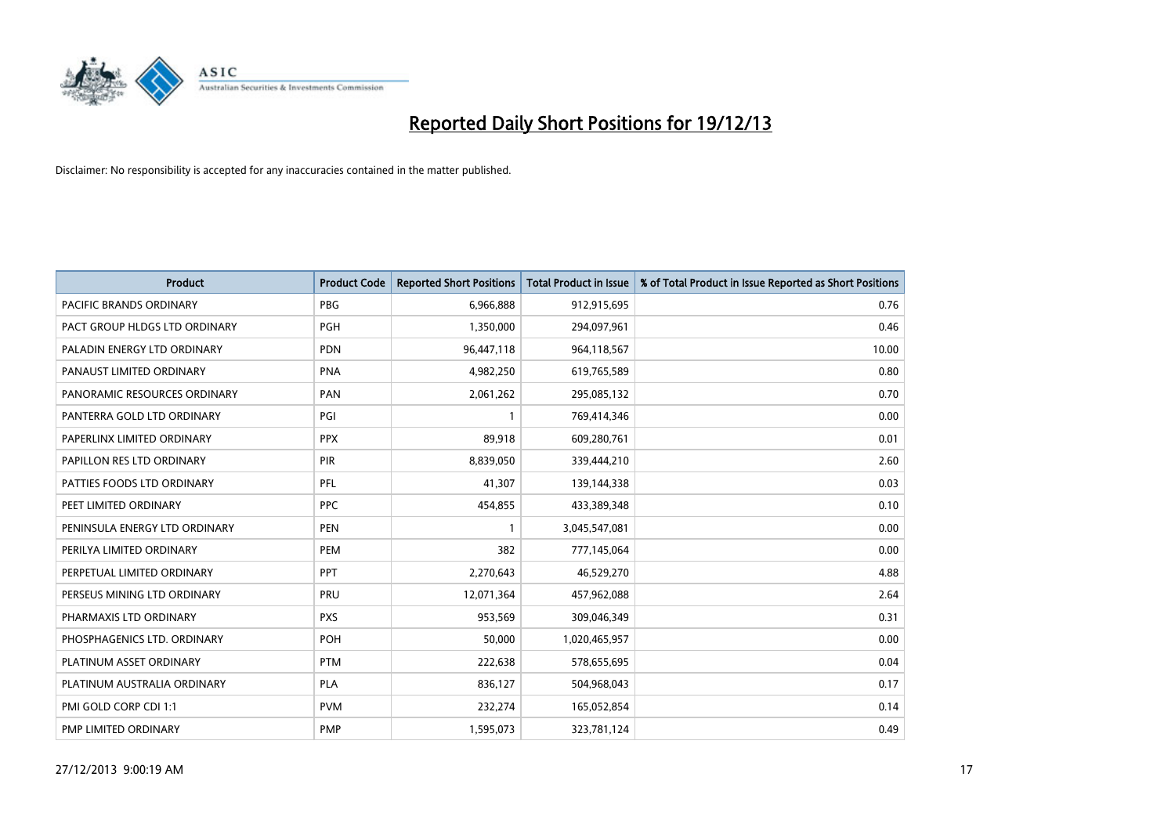

| Product                        | <b>Product Code</b> | <b>Reported Short Positions</b> | <b>Total Product in Issue</b> | % of Total Product in Issue Reported as Short Positions |
|--------------------------------|---------------------|---------------------------------|-------------------------------|---------------------------------------------------------|
| <b>PACIFIC BRANDS ORDINARY</b> | <b>PBG</b>          | 6,966,888                       | 912,915,695                   | 0.76                                                    |
| PACT GROUP HLDGS LTD ORDINARY  | <b>PGH</b>          | 1,350,000                       | 294,097,961                   | 0.46                                                    |
| PALADIN ENERGY LTD ORDINARY    | <b>PDN</b>          | 96,447,118                      | 964,118,567                   | 10.00                                                   |
| PANAUST LIMITED ORDINARY       | <b>PNA</b>          | 4,982,250                       | 619,765,589                   | 0.80                                                    |
| PANORAMIC RESOURCES ORDINARY   | PAN                 | 2,061,262                       | 295,085,132                   | 0.70                                                    |
| PANTERRA GOLD LTD ORDINARY     | PGI                 | $\mathbf{1}$                    | 769,414,346                   | 0.00                                                    |
| PAPERLINX LIMITED ORDINARY     | <b>PPX</b>          | 89,918                          | 609,280,761                   | 0.01                                                    |
| PAPILLON RES LTD ORDINARY      | PIR                 | 8,839,050                       | 339,444,210                   | 2.60                                                    |
| PATTIES FOODS LTD ORDINARY     | PFL                 | 41,307                          | 139,144,338                   | 0.03                                                    |
| PEET LIMITED ORDINARY          | <b>PPC</b>          | 454,855                         | 433,389,348                   | 0.10                                                    |
| PENINSULA ENERGY LTD ORDINARY  | <b>PEN</b>          | $\mathbf{1}$                    | 3,045,547,081                 | 0.00                                                    |
| PERILYA LIMITED ORDINARY       | PEM                 | 382                             | 777,145,064                   | 0.00                                                    |
| PERPETUAL LIMITED ORDINARY     | PPT                 | 2,270,643                       | 46,529,270                    | 4.88                                                    |
| PERSEUS MINING LTD ORDINARY    | PRU                 | 12,071,364                      | 457,962,088                   | 2.64                                                    |
| PHARMAXIS LTD ORDINARY         | <b>PXS</b>          | 953,569                         | 309,046,349                   | 0.31                                                    |
| PHOSPHAGENICS LTD. ORDINARY    | POH                 | 50,000                          | 1,020,465,957                 | 0.00                                                    |
| PLATINUM ASSET ORDINARY        | <b>PTM</b>          | 222,638                         | 578,655,695                   | 0.04                                                    |
| PLATINUM AUSTRALIA ORDINARY    | PLA                 | 836,127                         | 504,968,043                   | 0.17                                                    |
| PMI GOLD CORP CDI 1:1          | <b>PVM</b>          | 232,274                         | 165,052,854                   | 0.14                                                    |
| PMP LIMITED ORDINARY           | <b>PMP</b>          | 1,595,073                       | 323,781,124                   | 0.49                                                    |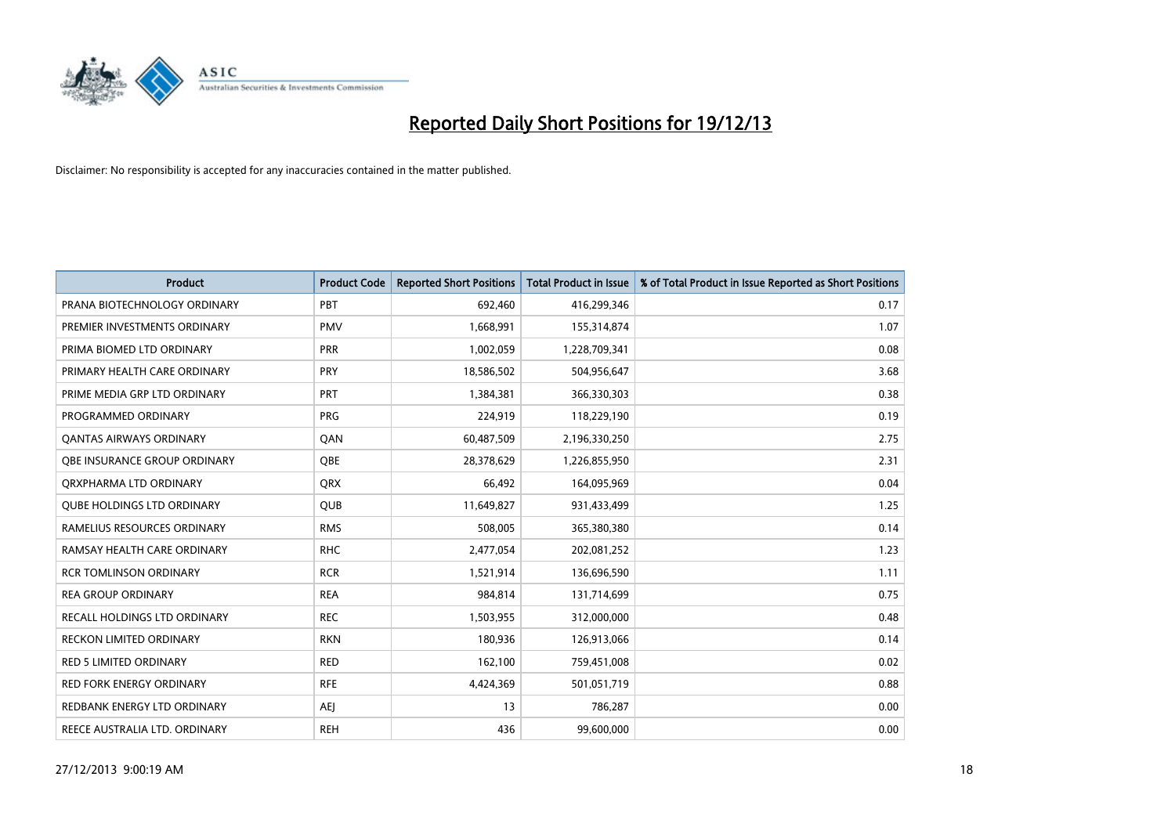

| <b>Product</b>                      | <b>Product Code</b> | <b>Reported Short Positions</b> | <b>Total Product in Issue</b> | % of Total Product in Issue Reported as Short Positions |
|-------------------------------------|---------------------|---------------------------------|-------------------------------|---------------------------------------------------------|
| PRANA BIOTECHNOLOGY ORDINARY        | PBT                 | 692,460                         | 416,299,346                   | 0.17                                                    |
| PREMIER INVESTMENTS ORDINARY        | <b>PMV</b>          | 1,668,991                       | 155,314,874                   | 1.07                                                    |
| PRIMA BIOMED LTD ORDINARY           | <b>PRR</b>          | 1,002,059                       | 1,228,709,341                 | 0.08                                                    |
| PRIMARY HEALTH CARE ORDINARY        | <b>PRY</b>          | 18,586,502                      | 504,956,647                   | 3.68                                                    |
| PRIME MEDIA GRP LTD ORDINARY        | <b>PRT</b>          | 1,384,381                       | 366,330,303                   | 0.38                                                    |
| PROGRAMMED ORDINARY                 | <b>PRG</b>          | 224,919                         | 118,229,190                   | 0.19                                                    |
| <b>QANTAS AIRWAYS ORDINARY</b>      | QAN                 | 60,487,509                      | 2,196,330,250                 | 2.75                                                    |
| <b>OBE INSURANCE GROUP ORDINARY</b> | <b>OBE</b>          | 28,378,629                      | 1,226,855,950                 | 2.31                                                    |
| ORXPHARMA LTD ORDINARY              | <b>QRX</b>          | 66,492                          | 164,095,969                   | 0.04                                                    |
| <b>QUBE HOLDINGS LTD ORDINARY</b>   | <b>QUB</b>          | 11,649,827                      | 931,433,499                   | 1.25                                                    |
| RAMELIUS RESOURCES ORDINARY         | <b>RMS</b>          | 508,005                         | 365,380,380                   | 0.14                                                    |
| RAMSAY HEALTH CARE ORDINARY         | <b>RHC</b>          | 2,477,054                       | 202,081,252                   | 1.23                                                    |
| <b>RCR TOMLINSON ORDINARY</b>       | <b>RCR</b>          | 1,521,914                       | 136,696,590                   | 1.11                                                    |
| <b>REA GROUP ORDINARY</b>           | <b>REA</b>          | 984,814                         | 131,714,699                   | 0.75                                                    |
| RECALL HOLDINGS LTD ORDINARY        | <b>REC</b>          | 1,503,955                       | 312,000,000                   | 0.48                                                    |
| RECKON LIMITED ORDINARY             | <b>RKN</b>          | 180,936                         | 126,913,066                   | 0.14                                                    |
| RED 5 LIMITED ORDINARY              | <b>RED</b>          | 162,100                         | 759,451,008                   | 0.02                                                    |
| <b>RED FORK ENERGY ORDINARY</b>     | <b>RFE</b>          | 4,424,369                       | 501,051,719                   | 0.88                                                    |
| REDBANK ENERGY LTD ORDINARY         | <b>AEJ</b>          | 13                              | 786,287                       | 0.00                                                    |
| REECE AUSTRALIA LTD. ORDINARY       | <b>REH</b>          | 436                             | 99,600,000                    | 0.00                                                    |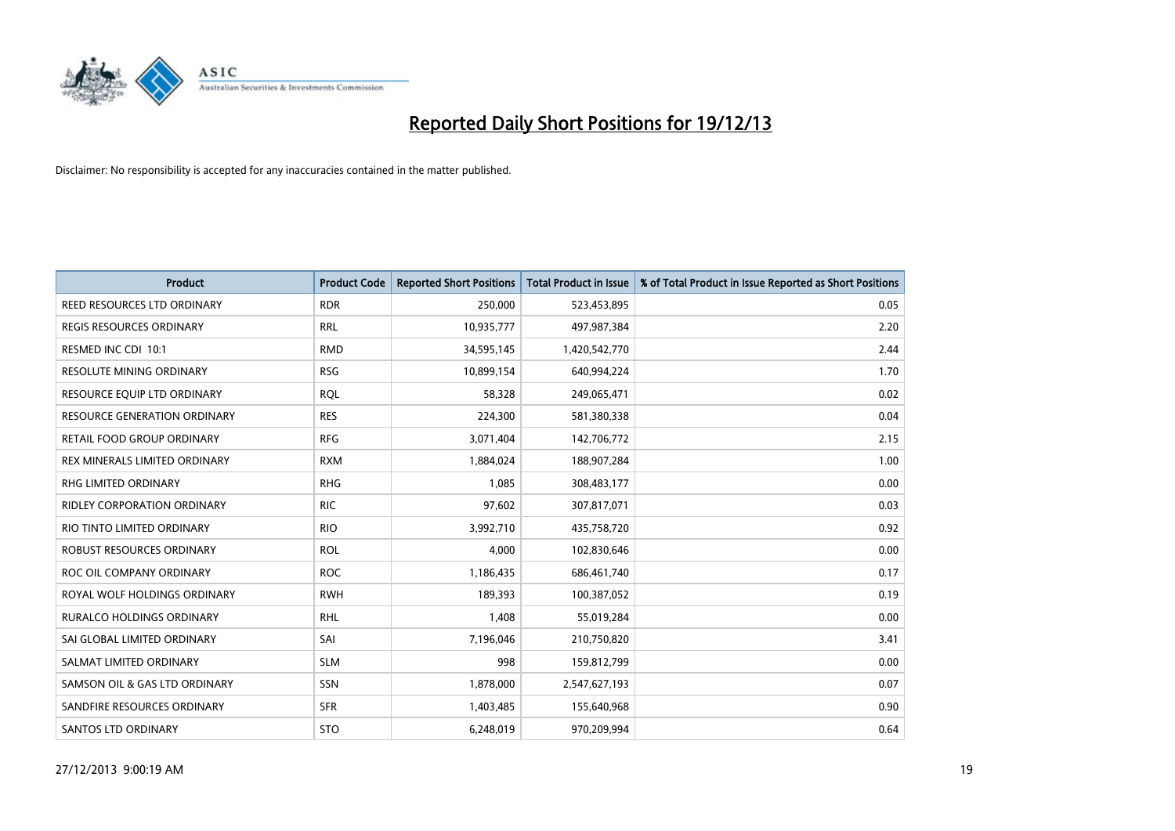

| <b>Product</b>                      | <b>Product Code</b> | <b>Reported Short Positions</b> | <b>Total Product in Issue</b> | % of Total Product in Issue Reported as Short Positions |
|-------------------------------------|---------------------|---------------------------------|-------------------------------|---------------------------------------------------------|
| REED RESOURCES LTD ORDINARY         | <b>RDR</b>          | 250,000                         | 523,453,895                   | 0.05                                                    |
| REGIS RESOURCES ORDINARY            | <b>RRL</b>          | 10,935,777                      | 497,987,384                   | 2.20                                                    |
| RESMED INC CDI 10:1                 | <b>RMD</b>          | 34,595,145                      | 1,420,542,770                 | 2.44                                                    |
| RESOLUTE MINING ORDINARY            | <b>RSG</b>          | 10,899,154                      | 640,994,224                   | 1.70                                                    |
| RESOURCE EQUIP LTD ORDINARY         | <b>ROL</b>          | 58,328                          | 249,065,471                   | 0.02                                                    |
| <b>RESOURCE GENERATION ORDINARY</b> | <b>RES</b>          | 224,300                         | 581,380,338                   | 0.04                                                    |
| RETAIL FOOD GROUP ORDINARY          | <b>RFG</b>          | 3,071,404                       | 142,706,772                   | 2.15                                                    |
| REX MINERALS LIMITED ORDINARY       | <b>RXM</b>          | 1,884,024                       | 188,907,284                   | 1.00                                                    |
| RHG LIMITED ORDINARY                | <b>RHG</b>          | 1.085                           | 308,483,177                   | 0.00                                                    |
| <b>RIDLEY CORPORATION ORDINARY</b>  | <b>RIC</b>          | 97,602                          | 307,817,071                   | 0.03                                                    |
| RIO TINTO LIMITED ORDINARY          | <b>RIO</b>          | 3,992,710                       | 435,758,720                   | 0.92                                                    |
| ROBUST RESOURCES ORDINARY           | <b>ROL</b>          | 4,000                           | 102,830,646                   | 0.00                                                    |
| ROC OIL COMPANY ORDINARY            | <b>ROC</b>          | 1,186,435                       | 686,461,740                   | 0.17                                                    |
| ROYAL WOLF HOLDINGS ORDINARY        | <b>RWH</b>          | 189,393                         | 100,387,052                   | 0.19                                                    |
| <b>RURALCO HOLDINGS ORDINARY</b>    | <b>RHL</b>          | 1,408                           | 55,019,284                    | 0.00                                                    |
| SAI GLOBAL LIMITED ORDINARY         | SAI                 | 7,196,046                       | 210,750,820                   | 3.41                                                    |
| SALMAT LIMITED ORDINARY             | <b>SLM</b>          | 998                             | 159,812,799                   | 0.00                                                    |
| SAMSON OIL & GAS LTD ORDINARY       | <b>SSN</b>          | 1,878,000                       | 2,547,627,193                 | 0.07                                                    |
| SANDFIRE RESOURCES ORDINARY         | <b>SFR</b>          | 1,403,485                       | 155,640,968                   | 0.90                                                    |
| SANTOS LTD ORDINARY                 | <b>STO</b>          | 6,248,019                       | 970,209,994                   | 0.64                                                    |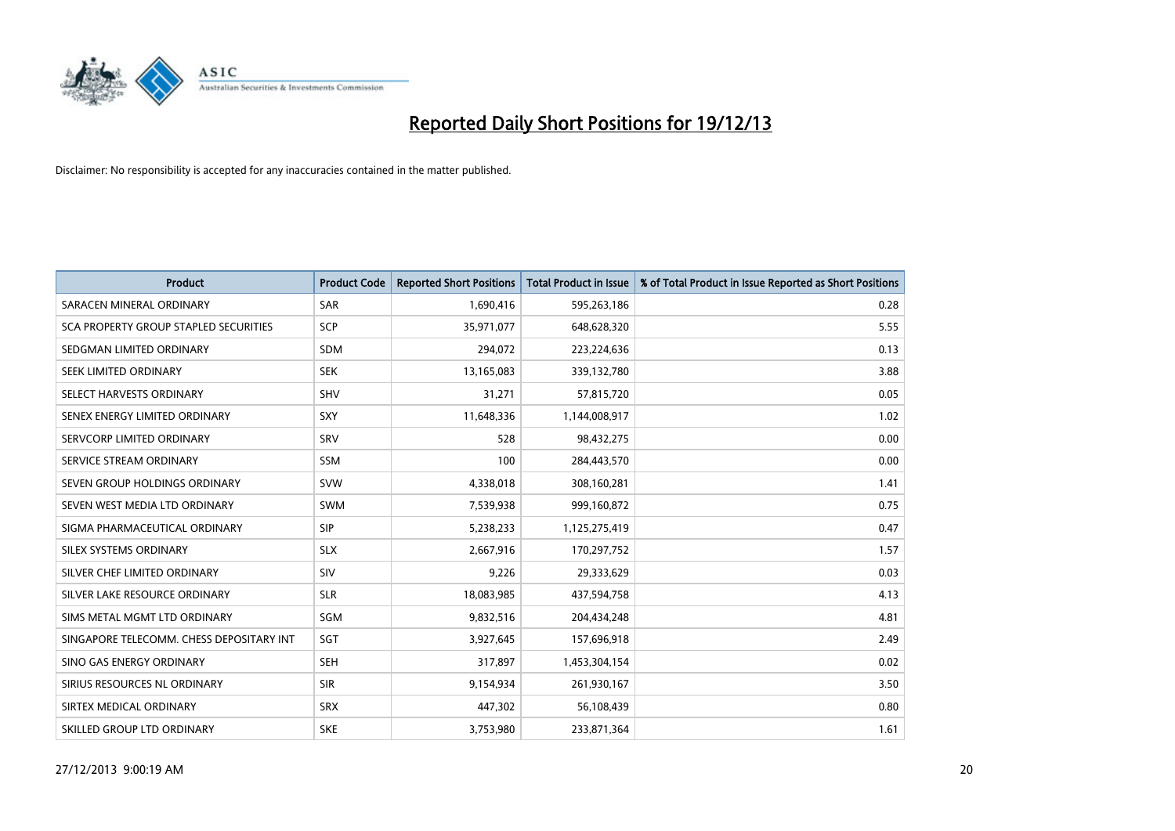

| <b>Product</b>                           | <b>Product Code</b> | <b>Reported Short Positions</b> | <b>Total Product in Issue</b> | % of Total Product in Issue Reported as Short Positions |
|------------------------------------------|---------------------|---------------------------------|-------------------------------|---------------------------------------------------------|
| SARACEN MINERAL ORDINARY                 | <b>SAR</b>          | 1,690,416                       | 595,263,186                   | 0.28                                                    |
| SCA PROPERTY GROUP STAPLED SECURITIES    | <b>SCP</b>          | 35,971,077                      | 648,628,320                   | 5.55                                                    |
| SEDGMAN LIMITED ORDINARY                 | <b>SDM</b>          | 294,072                         | 223,224,636                   | 0.13                                                    |
| SEEK LIMITED ORDINARY                    | <b>SEK</b>          | 13,165,083                      | 339,132,780                   | 3.88                                                    |
| SELECT HARVESTS ORDINARY                 | <b>SHV</b>          | 31,271                          | 57,815,720                    | 0.05                                                    |
| SENEX ENERGY LIMITED ORDINARY            | SXY                 | 11,648,336                      | 1,144,008,917                 | 1.02                                                    |
| SERVCORP LIMITED ORDINARY                | SRV                 | 528                             | 98,432,275                    | 0.00                                                    |
| SERVICE STREAM ORDINARY                  | SSM                 | 100                             | 284,443,570                   | 0.00                                                    |
| SEVEN GROUP HOLDINGS ORDINARY            | <b>SVW</b>          | 4,338,018                       | 308,160,281                   | 1.41                                                    |
| SEVEN WEST MEDIA LTD ORDINARY            | <b>SWM</b>          | 7,539,938                       | 999,160,872                   | 0.75                                                    |
| SIGMA PHARMACEUTICAL ORDINARY            | <b>SIP</b>          | 5,238,233                       | 1,125,275,419                 | 0.47                                                    |
| SILEX SYSTEMS ORDINARY                   | <b>SLX</b>          | 2,667,916                       | 170,297,752                   | 1.57                                                    |
| SILVER CHEF LIMITED ORDINARY             | <b>SIV</b>          | 9,226                           | 29,333,629                    | 0.03                                                    |
| SILVER LAKE RESOURCE ORDINARY            | <b>SLR</b>          | 18,083,985                      | 437,594,758                   | 4.13                                                    |
| SIMS METAL MGMT LTD ORDINARY             | SGM                 | 9,832,516                       | 204,434,248                   | 4.81                                                    |
| SINGAPORE TELECOMM. CHESS DEPOSITARY INT | SGT                 | 3,927,645                       | 157,696,918                   | 2.49                                                    |
| SINO GAS ENERGY ORDINARY                 | <b>SEH</b>          | 317,897                         | 1,453,304,154                 | 0.02                                                    |
| SIRIUS RESOURCES NL ORDINARY             | <b>SIR</b>          | 9,154,934                       | 261,930,167                   | 3.50                                                    |
| SIRTEX MEDICAL ORDINARY                  | <b>SRX</b>          | 447,302                         | 56,108,439                    | 0.80                                                    |
| SKILLED GROUP LTD ORDINARY               | <b>SKE</b>          | 3,753,980                       | 233,871,364                   | 1.61                                                    |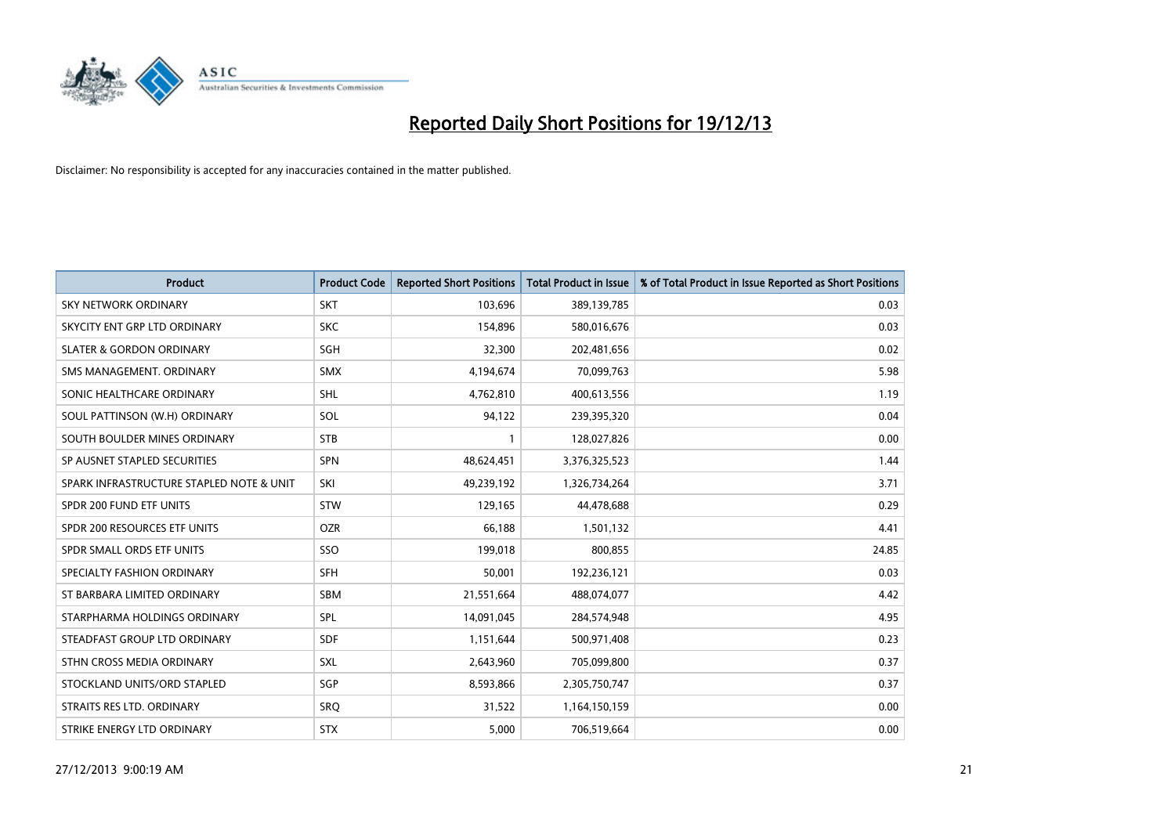

| <b>Product</b>                           | <b>Product Code</b> | <b>Reported Short Positions</b> | <b>Total Product in Issue</b> | % of Total Product in Issue Reported as Short Positions |
|------------------------------------------|---------------------|---------------------------------|-------------------------------|---------------------------------------------------------|
| SKY NETWORK ORDINARY                     | <b>SKT</b>          | 103,696                         | 389,139,785                   | 0.03                                                    |
| SKYCITY ENT GRP LTD ORDINARY             | <b>SKC</b>          | 154,896                         | 580,016,676                   | 0.03                                                    |
| <b>SLATER &amp; GORDON ORDINARY</b>      | SGH                 | 32,300                          | 202,481,656                   | 0.02                                                    |
| SMS MANAGEMENT, ORDINARY                 | <b>SMX</b>          | 4,194,674                       | 70,099,763                    | 5.98                                                    |
| SONIC HEALTHCARE ORDINARY                | <b>SHL</b>          | 4,762,810                       | 400,613,556                   | 1.19                                                    |
| SOUL PATTINSON (W.H) ORDINARY            | SOL                 | 94,122                          | 239,395,320                   | 0.04                                                    |
| SOUTH BOULDER MINES ORDINARY             | <b>STB</b>          |                                 | 128,027,826                   | 0.00                                                    |
| SP AUSNET STAPLED SECURITIES             | SPN                 | 48,624,451                      | 3,376,325,523                 | 1.44                                                    |
| SPARK INFRASTRUCTURE STAPLED NOTE & UNIT | SKI                 | 49,239,192                      | 1,326,734,264                 | 3.71                                                    |
| SPDR 200 FUND ETF UNITS                  | <b>STW</b>          | 129,165                         | 44,478,688                    | 0.29                                                    |
| SPDR 200 RESOURCES ETF UNITS             | <b>OZR</b>          | 66,188                          | 1,501,132                     | 4.41                                                    |
| SPDR SMALL ORDS ETF UNITS                | SSO                 | 199,018                         | 800,855                       | 24.85                                                   |
| SPECIALTY FASHION ORDINARY               | <b>SFH</b>          | 50,001                          | 192,236,121                   | 0.03                                                    |
| ST BARBARA LIMITED ORDINARY              | <b>SBM</b>          | 21,551,664                      | 488,074,077                   | 4.42                                                    |
| STARPHARMA HOLDINGS ORDINARY             | SPL                 | 14,091,045                      | 284,574,948                   | 4.95                                                    |
| STEADFAST GROUP LTD ORDINARY             | SDF                 | 1,151,644                       | 500,971,408                   | 0.23                                                    |
| STHN CROSS MEDIA ORDINARY                | <b>SXL</b>          | 2,643,960                       | 705,099,800                   | 0.37                                                    |
| STOCKLAND UNITS/ORD STAPLED              | SGP                 | 8,593,866                       | 2,305,750,747                 | 0.37                                                    |
| STRAITS RES LTD. ORDINARY                | SRQ                 | 31,522                          | 1,164,150,159                 | 0.00                                                    |
| STRIKE ENERGY LTD ORDINARY               | <b>STX</b>          | 5,000                           | 706,519,664                   | 0.00                                                    |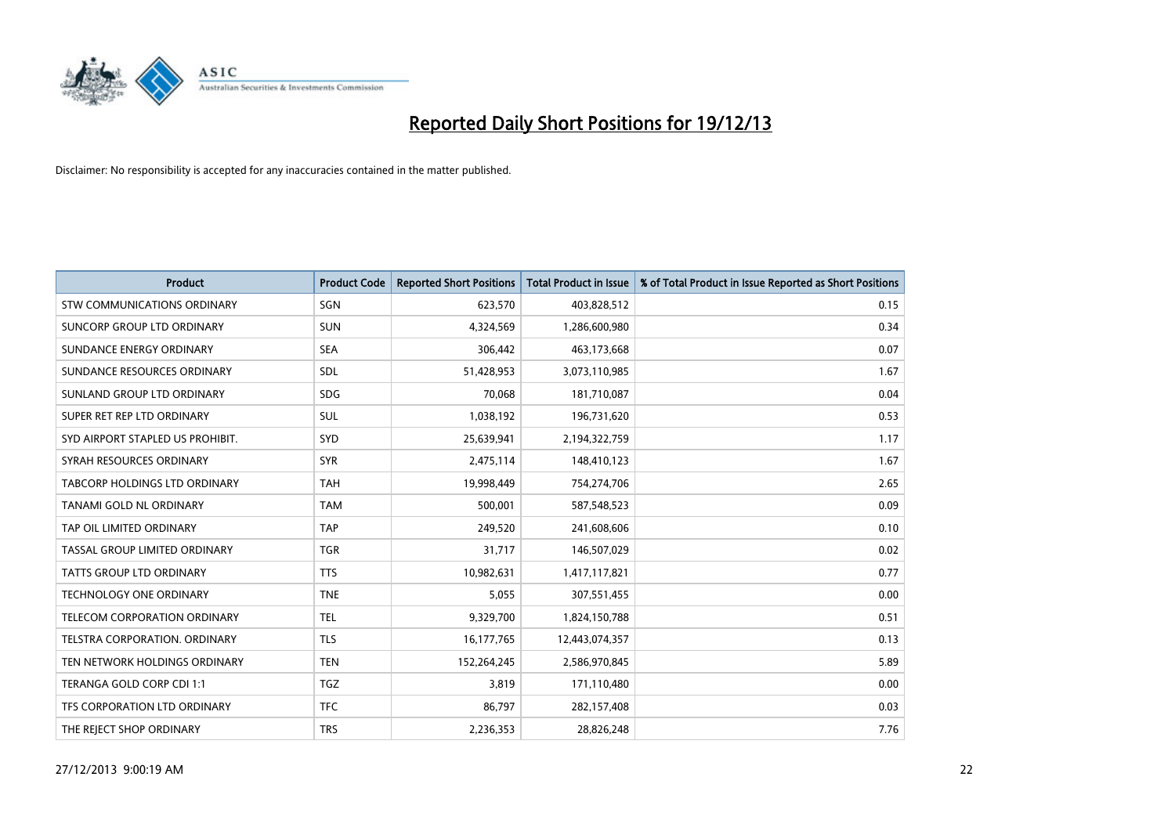

| <b>Product</b>                     | <b>Product Code</b> | <b>Reported Short Positions</b> | <b>Total Product in Issue</b> | % of Total Product in Issue Reported as Short Positions |
|------------------------------------|---------------------|---------------------------------|-------------------------------|---------------------------------------------------------|
| <b>STW COMMUNICATIONS ORDINARY</b> | SGN                 | 623,570                         | 403,828,512                   | 0.15                                                    |
| SUNCORP GROUP LTD ORDINARY         | <b>SUN</b>          | 4,324,569                       | 1,286,600,980                 | 0.34                                                    |
| SUNDANCE ENERGY ORDINARY           | <b>SEA</b>          | 306,442                         | 463,173,668                   | 0.07                                                    |
| SUNDANCE RESOURCES ORDINARY        | SDL                 | 51,428,953                      | 3,073,110,985                 | 1.67                                                    |
| SUNLAND GROUP LTD ORDINARY         | <b>SDG</b>          | 70,068                          | 181,710,087                   | 0.04                                                    |
| SUPER RET REP LTD ORDINARY         | SUL                 | 1,038,192                       | 196,731,620                   | 0.53                                                    |
| SYD AIRPORT STAPLED US PROHIBIT.   | <b>SYD</b>          | 25,639,941                      | 2,194,322,759                 | 1.17                                                    |
| SYRAH RESOURCES ORDINARY           | <b>SYR</b>          | 2,475,114                       | 148,410,123                   | 1.67                                                    |
| TABCORP HOLDINGS LTD ORDINARY      | <b>TAH</b>          | 19,998,449                      | 754,274,706                   | 2.65                                                    |
| <b>TANAMI GOLD NL ORDINARY</b>     | <b>TAM</b>          | 500,001                         | 587,548,523                   | 0.09                                                    |
| TAP OIL LIMITED ORDINARY           | <b>TAP</b>          | 249,520                         | 241,608,606                   | 0.10                                                    |
| TASSAL GROUP LIMITED ORDINARY      | <b>TGR</b>          | 31,717                          | 146,507,029                   | 0.02                                                    |
| <b>TATTS GROUP LTD ORDINARY</b>    | <b>TTS</b>          | 10,982,631                      | 1,417,117,821                 | 0.77                                                    |
| <b>TECHNOLOGY ONE ORDINARY</b>     | <b>TNE</b>          | 5,055                           | 307,551,455                   | 0.00                                                    |
| TELECOM CORPORATION ORDINARY       | <b>TEL</b>          | 9,329,700                       | 1,824,150,788                 | 0.51                                                    |
| TELSTRA CORPORATION. ORDINARY      | <b>TLS</b>          | 16,177,765                      | 12,443,074,357                | 0.13                                                    |
| TEN NETWORK HOLDINGS ORDINARY      | <b>TEN</b>          | 152,264,245                     | 2,586,970,845                 | 5.89                                                    |
| TERANGA GOLD CORP CDI 1:1          | <b>TGZ</b>          | 3,819                           | 171,110,480                   | 0.00                                                    |
| TFS CORPORATION LTD ORDINARY       | <b>TFC</b>          | 86,797                          | 282,157,408                   | 0.03                                                    |
| THE REJECT SHOP ORDINARY           | <b>TRS</b>          | 2,236,353                       | 28,826,248                    | 7.76                                                    |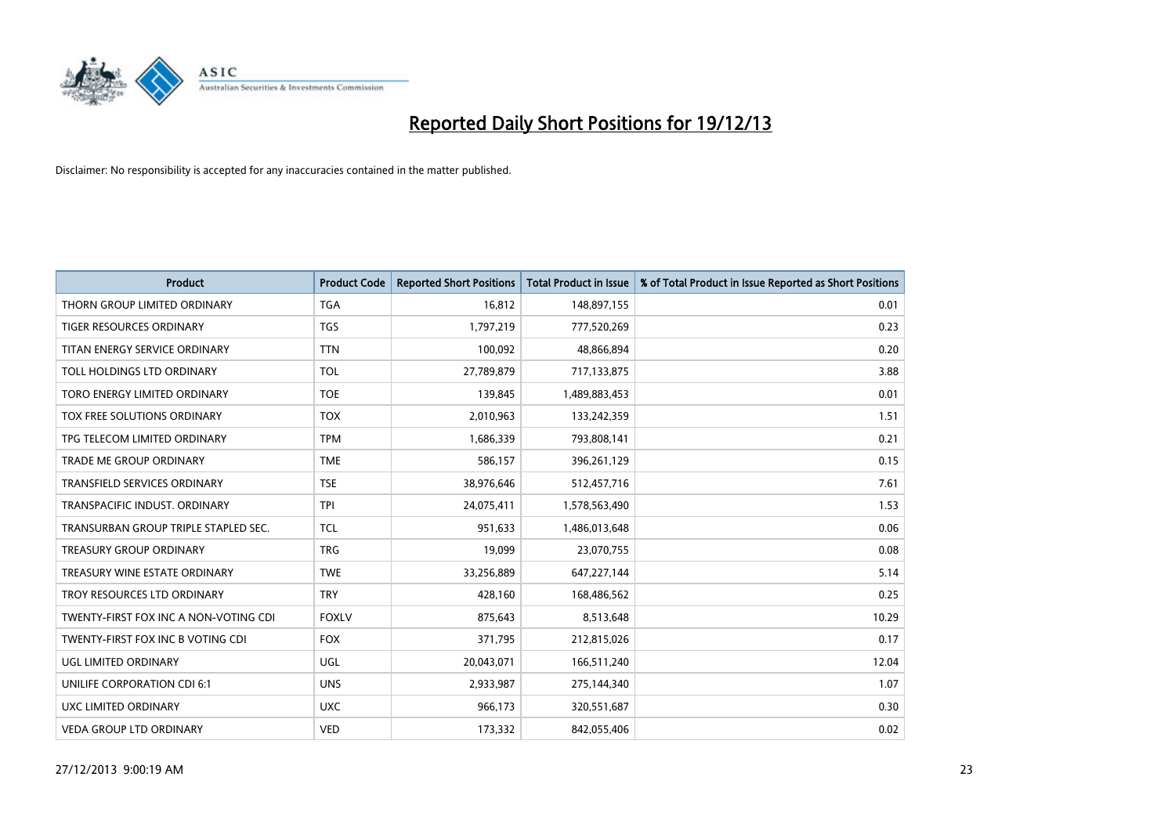

| <b>Product</b>                        | <b>Product Code</b> | <b>Reported Short Positions</b> | <b>Total Product in Issue</b> | % of Total Product in Issue Reported as Short Positions |
|---------------------------------------|---------------------|---------------------------------|-------------------------------|---------------------------------------------------------|
| THORN GROUP LIMITED ORDINARY          | <b>TGA</b>          | 16,812                          | 148,897,155                   | 0.01                                                    |
| TIGER RESOURCES ORDINARY              | <b>TGS</b>          | 1,797,219                       | 777,520,269                   | 0.23                                                    |
| TITAN ENERGY SERVICE ORDINARY         | <b>TTN</b>          | 100,092                         | 48,866,894                    | 0.20                                                    |
| TOLL HOLDINGS LTD ORDINARY            | <b>TOL</b>          | 27,789,879                      | 717,133,875                   | 3.88                                                    |
| TORO ENERGY LIMITED ORDINARY          | <b>TOE</b>          | 139,845                         | 1,489,883,453                 | 0.01                                                    |
| TOX FREE SOLUTIONS ORDINARY           | <b>TOX</b>          | 2,010,963                       | 133,242,359                   | 1.51                                                    |
| TPG TELECOM LIMITED ORDINARY          | <b>TPM</b>          | 1,686,339                       | 793,808,141                   | 0.21                                                    |
| TRADE ME GROUP ORDINARY               | <b>TME</b>          | 586,157                         | 396,261,129                   | 0.15                                                    |
| <b>TRANSFIELD SERVICES ORDINARY</b>   | <b>TSE</b>          | 38,976,646                      | 512,457,716                   | 7.61                                                    |
| TRANSPACIFIC INDUST, ORDINARY         | <b>TPI</b>          | 24,075,411                      | 1,578,563,490                 | 1.53                                                    |
| TRANSURBAN GROUP TRIPLE STAPLED SEC.  | TCL                 | 951,633                         | 1,486,013,648                 | 0.06                                                    |
| <b>TREASURY GROUP ORDINARY</b>        | <b>TRG</b>          | 19,099                          | 23,070,755                    | 0.08                                                    |
| TREASURY WINE ESTATE ORDINARY         | <b>TWE</b>          | 33,256,889                      | 647,227,144                   | 5.14                                                    |
| TROY RESOURCES LTD ORDINARY           | <b>TRY</b>          | 428,160                         | 168,486,562                   | 0.25                                                    |
| TWENTY-FIRST FOX INC A NON-VOTING CDI | <b>FOXLV</b>        | 875,643                         | 8,513,648                     | 10.29                                                   |
| TWENTY-FIRST FOX INC B VOTING CDI     | <b>FOX</b>          | 371,795                         | 212,815,026                   | 0.17                                                    |
| UGL LIMITED ORDINARY                  | UGL                 | 20,043,071                      | 166,511,240                   | 12.04                                                   |
| UNILIFE CORPORATION CDI 6:1           | <b>UNS</b>          | 2,933,987                       | 275,144,340                   | 1.07                                                    |
| <b>UXC LIMITED ORDINARY</b>           | <b>UXC</b>          | 966,173                         | 320,551,687                   | 0.30                                                    |
| VEDA GROUP LTD ORDINARY               | <b>VED</b>          | 173,332                         | 842,055,406                   | 0.02                                                    |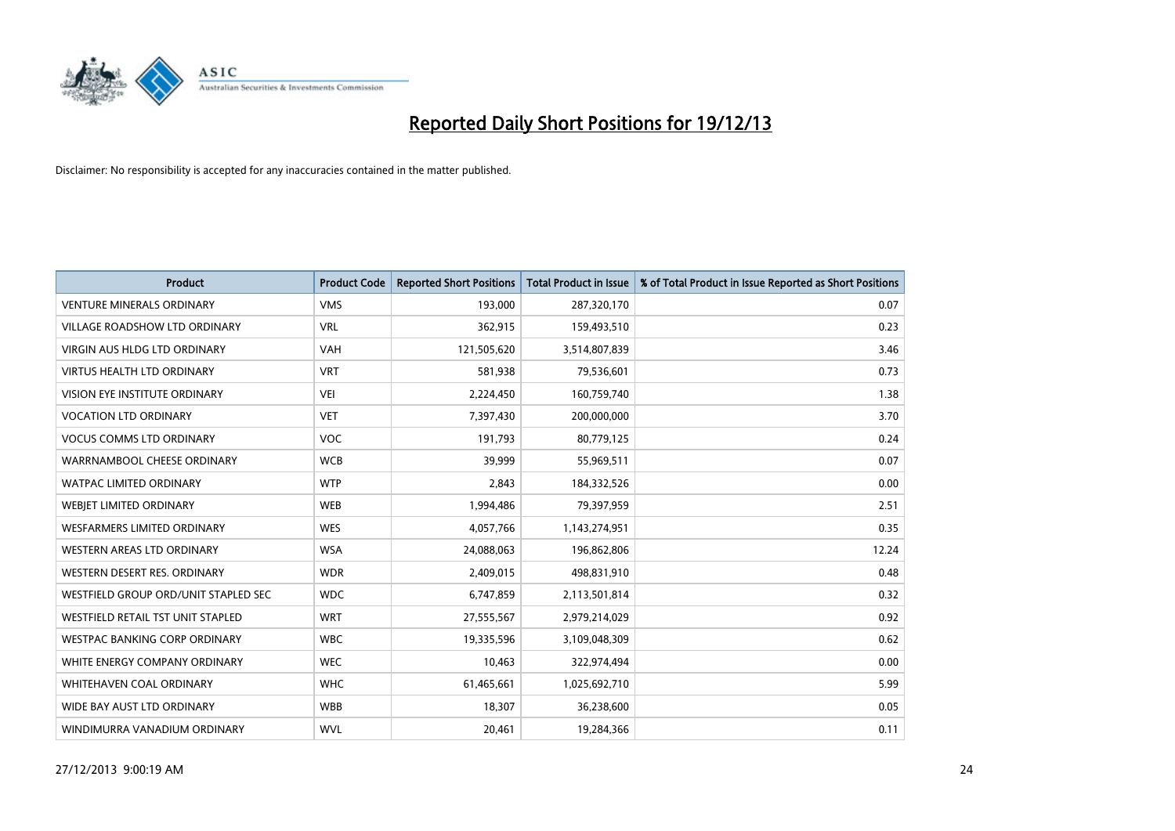

| <b>Product</b>                       | <b>Product Code</b> | <b>Reported Short Positions</b> | <b>Total Product in Issue</b> | % of Total Product in Issue Reported as Short Positions |
|--------------------------------------|---------------------|---------------------------------|-------------------------------|---------------------------------------------------------|
| <b>VENTURE MINERALS ORDINARY</b>     | <b>VMS</b>          | 193,000                         | 287,320,170                   | 0.07                                                    |
| <b>VILLAGE ROADSHOW LTD ORDINARY</b> | <b>VRL</b>          | 362,915                         | 159,493,510                   | 0.23                                                    |
| <b>VIRGIN AUS HLDG LTD ORDINARY</b>  | <b>VAH</b>          | 121,505,620                     | 3,514,807,839                 | 3.46                                                    |
| VIRTUS HEALTH LTD ORDINARY           | <b>VRT</b>          | 581,938                         | 79,536,601                    | 0.73                                                    |
| VISION EYE INSTITUTE ORDINARY        | <b>VEI</b>          | 2,224,450                       | 160,759,740                   | 1.38                                                    |
| <b>VOCATION LTD ORDINARY</b>         | <b>VET</b>          | 7,397,430                       | 200,000,000                   | 3.70                                                    |
| <b>VOCUS COMMS LTD ORDINARY</b>      | VOC                 | 191,793                         | 80,779,125                    | 0.24                                                    |
| WARRNAMBOOL CHEESE ORDINARY          | <b>WCB</b>          | 39,999                          | 55,969,511                    | 0.07                                                    |
| <b>WATPAC LIMITED ORDINARY</b>       | <b>WTP</b>          | 2,843                           | 184,332,526                   | 0.00                                                    |
| WEBIET LIMITED ORDINARY              | <b>WEB</b>          | 1,994,486                       | 79,397,959                    | 2.51                                                    |
| <b>WESFARMERS LIMITED ORDINARY</b>   | <b>WES</b>          | 4,057,766                       | 1,143,274,951                 | 0.35                                                    |
| <b>WESTERN AREAS LTD ORDINARY</b>    | <b>WSA</b>          | 24,088,063                      | 196,862,806                   | 12.24                                                   |
| WESTERN DESERT RES. ORDINARY         | <b>WDR</b>          | 2,409,015                       | 498,831,910                   | 0.48                                                    |
| WESTFIELD GROUP ORD/UNIT STAPLED SEC | <b>WDC</b>          | 6,747,859                       | 2,113,501,814                 | 0.32                                                    |
| WESTFIELD RETAIL TST UNIT STAPLED    | <b>WRT</b>          | 27,555,567                      | 2,979,214,029                 | 0.92                                                    |
| <b>WESTPAC BANKING CORP ORDINARY</b> | <b>WBC</b>          | 19,335,596                      | 3,109,048,309                 | 0.62                                                    |
| WHITE ENERGY COMPANY ORDINARY        | <b>WEC</b>          | 10,463                          | 322,974,494                   | 0.00                                                    |
| <b>WHITEHAVEN COAL ORDINARY</b>      | <b>WHC</b>          | 61,465,661                      | 1,025,692,710                 | 5.99                                                    |
| WIDE BAY AUST LTD ORDINARY           | <b>WBB</b>          | 18,307                          | 36,238,600                    | 0.05                                                    |
| WINDIMURRA VANADIUM ORDINARY         | <b>WVL</b>          | 20,461                          | 19,284,366                    | 0.11                                                    |